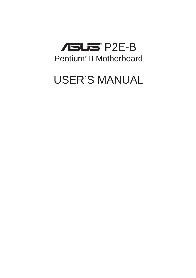

# USER'S MANUAL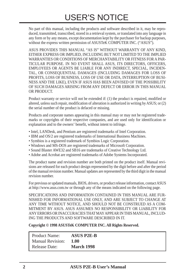No part of this manual, including the products and software described in it, may be reproduced, transmitted, transcribed, stored in a retrieval system, or translated into any language in any form or by any means, except documentation kept by the purchaser for backup purposes, without the express written permission of ASUSTeK COMPUTER INC. ("ASUS").

ASUS PROVIDES THIS MANUAL "AS IS" WITHOUT WARRANTY OF ANY KIND, EITHER EXPRESS OR IMPLIED, INCLUDING BUT NOT LIMITED TO THE IMPLIED WARRANTIES OR CONDITIONS OF MERCHANTABILITY OR FITNESS FOR A PAR-TICULAR PURPOSE. IN NO EVENT SHALL ASUS, ITS DIRECTORS, OFFICERS, EMPLOYEES OR AGENTS BE LIABLE FOR ANY INDIRECT, SPECIAL, INCIDEN-TAL, OR CONSEQUENTIAL DAMAGES (INCLUDING DAMAGES FOR LOSS OF PROFITS, LOSS OF BUSINESS, LOSS OF USE OR DATA, INTERRUPTION OF BUSI-NESS AND THE LIKE), EVEN IF ASUS HAS BEEN ADVISED OF THE POSSIBILITY OF SUCH DAMAGES ARISING FROM ANY DEFECT OR ERROR IN THIS MANUAL OR PRODUCT.

Product warranty or service will not be extended if: (1) the product is repaired, modified or altered, unless such repair, modification of alteration is authorized in writing by ASUS; or (2) the serial number of the product is defaced or missing.

Products and corporate names appearing in this manual may or may not be registered trademarks or copyrights of their respective companies, and are used only for identification or explanation and to the owners' benefit, without intent to infringe.

- Intel, LANDesk, and Pentium are registered trademarks of Intel Corporation.
- IBM and OS/2 are registered trademarks of International Business Machines.
- Symbios is a registered trademark of Symbios Logic Corporation.
- Windows and MS-DOS are registered trademarks of Microsoft Corporation.
- Sound Blaster AWE32 and SB16 are trademarks of Creative Technology Ltd.
- Adobe and Acrobat are registered trademarks of Adobe Systems Incorporated.

The product name and revision number are both printed on the product itself. Manual revisions are released for each product design represented by the digit before and after the period of the manual revision number. Manual updates are represented by the third digit in the manual revision number.

For previous or updated manuals, BIOS, drivers, or product release information, contact ASUS at http://www.asus.com.tw or through any of the means indicated on the following page.

SPECIFICATIONS AND INFORMATION CONTAINED IN THIS MANUAL ARE FUR-NISHED FOR INFORMATIONAL USE ONLY, AND ARE SUBJECT TO CHANGE AT ANY TIME WITHOUT NOTICE, AND SHOULD NOT BE CONSTRUED AS A COM-MITMENT BY ASUS. ASUS ASSUMES NO RESPONSIBILITY OR LIABILITY FOR ANY ERRORS OR INACCURACIES THAT MAY APPEAR IN THIS MANUAL, INCLUD-ING THE PRODUCTS AND SOFTWARE DESCRIBED IN IT.

**Copyright © 1998 ASUSTeK COMPUTER INC. All Rights Reserved.**

| <b>Product Name:</b>    | <b>ASUS P2E-B</b> |
|-------------------------|-------------------|
| <b>Manual Revision:</b> | 1.00              |
| <b>Release Date:</b>    | <b>March 1998</b> |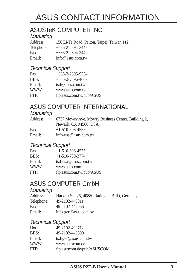# ASUS CONTACT INFORMATION

## ASUSTeK COMPUTER INC.

# Marketing<br>Address:

150 Li-Te Road, Peitou, Taipei, Taiwan 112 Telephone: +886-2-2894-3447 Fax: +886-2-2894-3449 Email: info@asus.com.tw

### Technical Support

| Fax:   | $+886 - 2 - 2895 - 9254$ |
|--------|--------------------------|
| BBS:   | $+886-2-2896-4667$       |
| Email: | $tsd@$ asus.com.tw       |
| WWW:   | www.asus.com.tw          |
| FTP:   | ftp.asus.com.tw/pub/ASUS |

## ASUS COMPUTER INTERNATIONAL

#### **Marketing**

| Address: | 6737 Mowry Ave, Mowry Business Center, Building 2, |
|----------|----------------------------------------------------|
|          | Newark, CA 94560, USA                              |
| Fax:     | $+1-510-608-4555$                                  |
| Email:   | info-usa@asus.com.tw                               |

### Technical Support

| Fax:   | $+1-510-608-4555$        |
|--------|--------------------------|
| BBS:   | $+1-510-739-3774$        |
| Email: | tsd-usa@asus.com.tw      |
| WWW:   | www.asus.com             |
| FTP:   | ftp.asus.com.tw/pub/ASUS |

## ASUS COMPUTER GmbH

### **Marketing**

| Address:   | Harkort Str. 25, 40880 Ratingen, BRD, Germany |
|------------|-----------------------------------------------|
| Telephone: | 49-2102-445011                                |
| Fax:       | 49-2102-442066                                |
| Email:     | $info\text{-}ger@$ asus.com.tw                |

### Technical Support

| 49-2102-499712             |
|----------------------------|
| 49-2102-448690             |
| tsd-ger@asus.com.tw        |
| www.asuscom.de             |
| ftp.asuscom.de/pub/ASUSCOM |
|                            |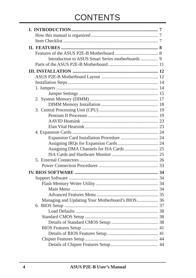# **CONTENTS**

| Managing and Updating Your Motherboard's BIOS 36 |  |
|--------------------------------------------------|--|
|                                                  |  |
|                                                  |  |
|                                                  |  |
|                                                  |  |
|                                                  |  |
|                                                  |  |
|                                                  |  |
|                                                  |  |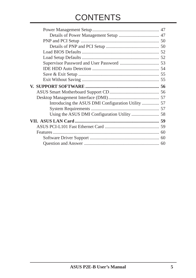# **CONTENTS**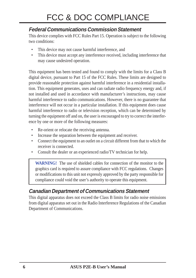### **Federal Communications Commission Statement**

This device complies with FCC Rules Part 15. Operation is subject to the following two conditions:

- This device may not cause harmful interference, and
- This device must accept any interference received, including interference that may cause undesired operation.

This equipment has been tested and found to comply with the limits for a Class B digital device, pursuant to Part 15 of the FCC Rules. These limits are designed to provide reasonable protection against harmful interference in a residential installation. This equipment generates, uses and can radiate radio frequency energy and, if not installed and used in accordance with manufacturer's instructions, may cause harmful interference to radio communications. However, there is no guarantee that interference will not occur in a particular installation. If this equipment does cause harmful interference to radio or television reception, which can be determined by turning the equipment off and on, the user is encouraged to try to correct the interference by one or more of the following measures:

- Re-orient or relocate the receiving antenna.
- Increase the separation between the equipment and receiver.
- Connect the equipment to an outlet on a circuit different from that to which the receiver is connected.
- Consult the dealer or an experienced radio/TV technician for help.

**WARNING!** The use of shielded cables for connection of the monitor to the graphics card is required to assure compliance with FCC regulations. Changes or modifications to this unit not expressly approved by the party responsible for compliance could void the user's authority to operate this equipment.

### **Canadian Department of Communications Statement**

This digital apparatus does not exceed the Class B limits for radio noise emissions from digital apparatus set out in the Radio Interference Regulations of the Canadian Department of Communications.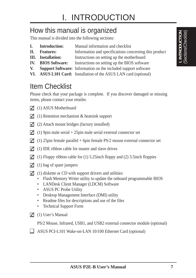## How this manual is organized

This manual is divided into the following sections:

- **I. Introduction:** Manual information and checklist
- **II. Features:** Information and specifications concerning this product
- **III.** Installation: Instructions on setting up the motherboard
- **IV. BIOS Software:** Instructions on setting up the BIOS software
- **V. Support Software:** Information on the included support software
- **VI. ASUS L101 Card:** Installation of the ASUS LAN card (optional)

# Item Checklist

Please check that your package is complete. If you discover damaged or missing items, please contact your retailer.

- $\Box$  (1) ASUS Motherboard
- $\Box$  (1) Retention mechanism & heatsink support
- $\Box$  (2) Attach mount bridges (factory installed)
- (1) 9pin male serial + 25pin male serial external connector set
- (1) 25pin female parallel + 6pin female PS/2 mouse external connector set
- $\triangledown$  (1) IDE ribbon cable for master and slave drives
- (1) Floppy ribbon cable for (1) 5.25inch floppy and (2) 3.5inch floppies
- $\Box$  (1) bag of spare jumpers
- $\Box$  (1) diskette or CD with support drivers and utilities:
	- Flash Memory Writer utility to update the onboard programmable BIOS
	- LANDesk Client Manager (LDCM) Software
	- ASUS PC Probe Utility
	- Desktop Management Interface (DMI) utility
	- Readme files for descriptions and use of the files
	- Technical Support Form
- $\overline{M}$  (1) User's Manual
	- PS/2 Mouse, Infrared, USB1, and USB2 external connector module (optional)
- ASUS PCI-L101 Wake-on-LAN 10/100 Ethernet Card (optional)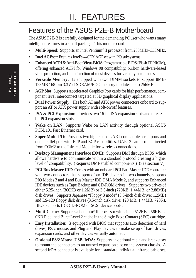# Features of the ASUS P2E-B Motherboard

The ASUS P2E-B is carefully designed for the demanding PC user who wants many intelligent features in a small package. This motherboard:

- **Multi-Speed:** Supports an Intel Pentium<sup>®</sup> II processor from 233MHz–333MHz.
- **Intel AGPset:** Features Intel's 440EX AGPset with I/O subsystems.
- **Enhanced ACPI & Anti-Boot Virus BIOS:** Programmable BIOS (Flash EEPROM), offering enhanced ACPI for Windows 98 compatibility, built-in hardware-based virus protection, and autodetection of most devices for virtually automatic setup.
- **Versatile Memory:** Is equipped with two DIMM sockets to support 8MB-128MB 168-pin 3.3Volt SDRAM/EDO memory modules up to 256MB.
- **AGP Slot:** Supports Accelerated Graphics Port cards for high performance, component level interconnect targeted at 3D graphical display applications.
- **Dual Power Supply:** Has both AT and ATX power connectors onboard to support an AT or ATX power supply with soft-on/off features.
- **ISA & PCI Expansion:** Provides two 16-bit ISA expansion slots and three 32 bit PCI expansion slots.
- **Wake on LAN:** Supports Wake on LAN activity through optional ASUS PCI-L101 Fast Ethernet card.
- **Super Multi-I/O:** Provides two high-speed UART compatible serial ports and one parallel port with EPP and ECP capabilities. UART2 can also be directed from COM2 to the Infrared Module for wireless connections.
- **Desktop Management Interface (DMI):** Supports DMI through BIOS which allows hardware to communicate within a standard protocol creating a higher level of compatibility. (Requires DMI-enabled components.) (See section V)
- **PCI Bus Master IDE:** Comes with an onboard PCI Bus Master IDE controller with two connectors that supports four IDE devices in two channels, supports PIO Modes 3 and 4 and Bus Master IDE DMA Mode 2, and supports Enhanced IDE devices such as Tape Backup and CD-ROM drives. Supports two drives of either 5.25-inch (360KB or 1.2MB) or 3.5-inch (720KB, 1.44MB, or 2.88MB) disk drives. Supports Japanese "Floppy 3 mode" (3.5-inch disk drive: 1.2MB) and LS-120 floppy disk drives (3.5-inch disk drive: 120 MB, 1.44MB, 720K). BIOS supports IDE CD-ROM or SCSI device boot-up.
- **Multi-Cache:** Supports a Pentium<sup>®</sup> II processor with either 512KB, 256KB, or 0KB Pipelined Burst Level 2 cache in the Single Edge Contact (SEC) cartridge.
- **Easy Installation:** Is equipped with BIOS that supports auto detection of hard drives, PS/2 mouse, and Plug and Play devices to make setup of hard drives, expansion cards, and other devices virtually automatic.
- **Optional PS/2 Mouse, USB, IrDA:** Supports an optional cable and bracket set to mount the connectors to an unused expansion slot on the system chassis. A second IrDA connector is available for a standard individual infrared cable set.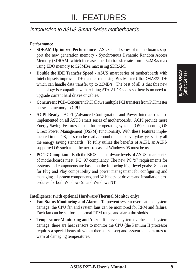### Introduction to ASUS Smart Series motherboards

#### **Performance**

- **SDRAM Optimized Performance -** ASUS smart series of motherboards support the new generation memory - Synchronous Dynamic Random Access Memory (SDRAM) which increases the data transfer rate from 264MB/s max using EDO memory to 528MB/s max using SDRAM.
- **Double the IDE Transfer Speed** ASUS smart series of motherboards with Intel chipsets improves IDE transfer rate using Bus Master UltraDMA/33 IDE which can handle data transfer up to 33MB/s. The best of all is that this new technology is compatible with existing ATA-2 IDE specs so there is no need to upgrade current hard drives or cables.
- **Concurrent PCI -** Concurrent PCI allows multiple PCI transfers from PCI master busses to memory to CPU.
- **ACPI Ready -** ACPI (Advanced Configuration and Power Interface) is also implemented on all ASUS smart series of motherboards. ACPI provide more Energy Saving Features for the future operating systems (OS) supporting OS Direct Power Management (OSPM) functionality. With these features implemented in the OS, PCs can be ready around the clock everyday, yet satisfy all the energy saving standards. To fully utilize the benefits of ACPI, an ACPIsupported OS such as in the next release of Windows 95 must be used.
- **PC '97 Compliant** Both the BIOS and hardware levels of ASUS smart series of motherboards meet PC '97 compliancy. The new PC '97 requirements for systems and components are based on the following high-level goals: Support for Plug and Play compatibility and power management for configuring and managing all system components, and 32-bit device drivers and installation procedures for both Windows 95 and Windows NT.

#### **Intelligence: (with optional Hardware/Thermal Monitor only)**

- **Fan Status Monitoring and Alarm -** To prevent system overheat and system damage, the CPU fan and system fans can be monitored for RPM and failure. Each fan can be set for its normal RPM range and alarm thresholds.
- **Temperature Monitoring and Alert -** To prevent system overheat and system damage, there are heat sensors to monitor the CPU (the Pentium II processor requires a special heatsink with a thermal sensor) and system temperatures to warn of damaging temperatures.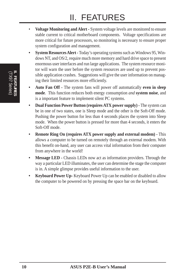- **Voltage Monitoring and Alert -** System voltage levels are monitored to ensure stable current to critical motherboard components. Voltage specifications are more critical for future processors, so monitoring is necessary to ensure proper system configuration and management.
- **System Resources Alert -** Today's operating systems such as Windows 95, Windows NT, and OS/2, require much more memory and hard drive space to present enormous user interfaces and run large applications. The system resource monitor will warn the user before the system resources are used up to prevent possible application crashes. Suggestions will give the user information on managing their limited resources more efficiently.
- **Auto Fan Off -** The system fans will power off automatically **even in sleep mode**. This function reduces both energy consumption *and* **system noise**, and is a important feature to implement silent PC systems.
- **Dual Function Power Button (requires ATX power supply) -** The system can be in one of two states, one is Sleep mode and the other is the Soft-Off mode. Pushing the power button for less than 4 seconds places the system into Sleep mode. When the power button is pressed for more than 4 seconds, it enters the Soft-Off mode.
- **Remote Ring On (requires ATX power supply and external modem) -** This allows a computer to be turned on remotely through an external modem. With this benefit on-hand, any user can access vital information from their computer from anywhere in the world!
- **Message LED -** Chassis LEDs now act as information providers. Through the way a particular LED illuminates, the user can determine the stage the computer is in. A simple glimpse provides useful information to the user.
- **Keyboard Power Up-** Keyboard Power Up can be enabled or disabled to allow the computer to be powered on by pressing the space bar on the keyboard.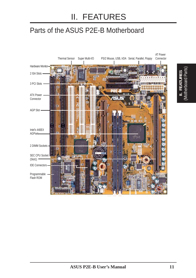# Parts of the ASUS P2E-B Motherboard

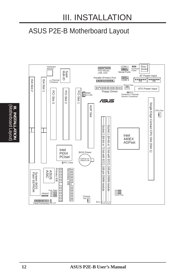# ASUS P2E-B Motherboard Layout

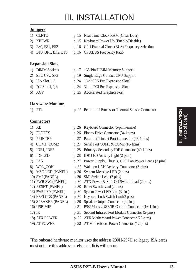#### **Jumpers**

- 1) CLRTC p. 15 Real Time Clock RAM (Clear Data)
- 
- 
- 

#### **Expansion Slots**

- 
- 
- 
- 
- 

#### **Hardware Monitor**

- 2) KBPWR p. 15 Keyboard Power Up (Enable/Disable)
- 3) FS0, FS1, FS2 p. 16 CPU External Clock (BUS) Frequency Selection
- 4) BF0, BF1, BF2, BF3 p. 16 CPU:BUS Frequency Ratio
- 1) DIMM Sockets p. 17 168-Pin DIMM Memory Support
- 2) SEC CPU Slot p. 19 Single Edge Contact CPU Support
- 3) ISA Slot 1, 2 p. 24 16-bit ISA Bus Expansion Slots**\***
- 4) PCI Slot 1, 2, 3 p. 24 32-bit PCI Bus Expansion Slots
- 5) AGP p. 25 Accelerated Graphics Port
- 1) RT2 p. 22 Pentium II Processor Thermal Sensor Connector

#### **Connectors**

- 1) KB p. 26 Keyboard Connector (5-pin Female)
- 
- 
- 
- 
- 
- 
- 
- 
- 
- 
- 
- 
- 
- 
- 
- 
- 
- 
- 
- 19) AT POWER p. 32 AT Motherboard Power Connector (12-pins)

\* The onboard hardware monitor uses the address 290H-297H so legacy ISA cards must not use this address or else conflicts will occur.

**III. INSTALLATION**

- 
- 
- 
- 
- 
- 2) FLOPPY p. 26 Floppy Drive Connector (34-1pins) 3) PRINTER p. 27 Parallel (Printer) Port Connector (26-1pins)
- 4) COM1, COM2 p. 27 Serial Port COM1 & COM2 (10-1pins)
- 5) IDE1, IDE2 p. 28 Primary / Secondary IDE Connector (40-1pins)
- 6) IDELED p. 28 IDE LED Activity Light (2 pins)
- 7) FAN p. 27 Power Supply, Chassis, CPU Fan Power Leads (3 pins)
- 8) W0L\_CON p. 32 Wake on LAN Activity Connector (3-pins)
- 9) MSG.LED (PANEL) p. 30 System Message LED (2 pins)
- 10) SMI (PANEL) p. 30 SMI Switch Lead (2 pins)
- 11) PWR SW. (PANEL) p. 30 ATX Power & Soft-Off Switch Lead (2 pins)
- 12) RESET (PANEL) p. 30 Reset Switch Lead (2 pins)
- 13) PWR.LED (PANEL) p. 30 System Power LED Lead (3 pins)
- 14) KEYLOCK (PANEL) p. 30 Keyboard Lock Switch Lead (2 pins)
- 15) SPEAKER (PANEL) p. 30 Speaker Output Connector (4 pins)
- 16) USB/MIR p. 31 PS/2 Mouse/USB/IR Combo-Connector (18-1pins)
- 17) IR p. 31 Second Infrared Port Module Connector (5-pins)
- 18) ATX POWER p. 32 ATX Motherboard Power Connector (20-pins)
- 
- 
- 
-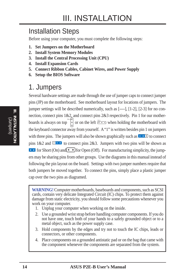## Installation Steps

Before using your computer, you must complete the following steps:

- **1. Set Jumpers on the Motherboard**
- **2. Install System Memory Modules**
- **3. Install the Central Processing Unit (CPU)**
- **4. Install Expansion Cards**
- **5. Connect Ribbon Cables, Cabinet Wires, and Power Supply**
- **6. Setup the BIOS Software**

## 1. Jumpers

Several hardware settings are made through the use of jumper caps to connect jumper pins (JP) on the motherboard. See motherboard layout for locations of jumpers. The jumper settings will be described numerically, such as [----], [1-2], [2-3] for no connection, connect pins 1&2, and connect pins 2&3 respectively. Pin 1 for our motherboards is always on top  $\left|\frac{1}{r}\right|$  or on the left  $\frac{1}{r-1}$  when holding the motherboard with the keyboard connector away from yourself. A "1" is written besides pin 1 on jumpers with three pins. The jumpers will also be shown graphically such as  $\bullet \bullet \bullet$  to connect pins  $1&2$  and  $\blacksquare$  to connect pins  $2&3$ . Jumpers with two pins will be shown as **For Short (On) and For Open (Off).** For manufacturing simplicity, the jumpers may be sharing pins from other groups. Use the diagrams in this manual instead of following the pin layout on the board. Settings with two jumper numbers require that both jumpers be moved together. To connect the pins, simply place a plastic jumper cap over the two pins as diagramed.

**WARNING!** Computer motherboards, baseboards and components, such as SCSI cards, contain very delicate Integrated Circuit (IC) chips. To protect them against damage from static electricity, you should follow some precautions whenever you work on your computer.

- 1. Unplug your computer when working on the inside.
- 2. Use a grounded wrist strap before handling computer components. If you do not have one, touch both of your hands to a safely grounded object or to a metal object, such as the power supply case.
- 3. Hold components by the edges and try not to touch the IC chips, leads or connectors, or other components.
- 4. Place components on a grounded antistatic pad or on the bag that came with the component whenever the components are separated from the system.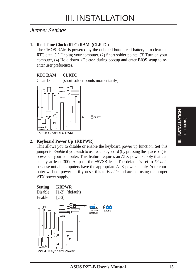### Jumper Settings

#### **1. Real Time Clock (RTC) RAM (CLRTC)**

The CMOS RAM is powered by the onboard button cell battery. To clear the RTC data: (1) Unplug your computer, (2) Short solder points, (3) Turn on your computer, (4) Hold down <Delete> during bootup and enter BIOS setup to reenter user preferences.

#### **RTC RAM CLRTC**

Clear Data [short solder points momentarily]



#### **2. Keyboard Power Up (KBPWR)**

This allows you to disable or enable the keyboard power up function. Set this jumper to *Enable* if you wish to use your keyboard (by pressing the space bar) to power up your computer. This feature requires an ATX power supply that can supply at least 300mAmp on the +5VSB lead. The default is set to *Disable* because not all computers have the appropriate ATX power supply. Your computer will not power on if you set this to *Enable* and are not using the proper

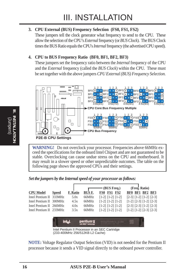#### **3. CPU External (BUS) Frequency Selection (FS0, FS1, FS2)**

These jumpers tell the clock generator what frequency to send to the CPU. These allow the selection of the CPU's *External* frequency (or *BUS Clock*). The BUS Clock times the BUS Ratio equals the CPU's *Internal* frequency (the advertised CPU speed).

#### **4. CPU to BUS Frequency Ratio (BF0, BF1, BF2, BF3)**

These jumpers set the frequency ratio between the *Internal* frequency of the CPU and the *External* frequency (called the *BUS Clock*) within the CPU. These must be set together with the above jumpers *CPU External (BUS) Frequency Selection.*



**WARNING!** Do not overclock your processor. Frequencies above 66MHz exceed the specifications for the onboard Intel Chipset and are not guaranteed to be stable. Overclocking can cause undue stress on the CPU and motherboard. It may result in a slower speed or other unpredictable outcomes. The table on the following page shows the approved CPUs and their settings.

*Set the jumpers by the Internal speed of your processor as follows:*

|                         |              |                 |        | $-$ (BUS Freq.)         | (Freq. Ratio)                   |
|-------------------------|--------------|-----------------|--------|-------------------------|---------------------------------|
| <b>CPU Model</b>        | <b>Speed</b> | <b>F.</b> Ratio | BUS F. | FS0 FS1 FS2             | BF0 BF1 BF2 BF3                 |
| Intel Pentium II 333MHz |              | 5.0x            | 66MHz  | $[1-2]$ $[1-2]$ $[1-2]$ | $[2-3]$ $[1-2]$ $[1-2]$ $[2-3]$ |
| Intel Pentium II 300MHz |              | 4.5x            | 66MHz  | $[1-2]$ $[1-2]$ $[1-2]$ | $[1-2]$ $[2-3]$ $[1-2]$ $[2-3]$ |
| Intel Pentium II 266MHz |              | 4.0x            | 66MHz  | $[1-2]$ $[1-2]$ $[1-2]$ | $[2-3]$ $[2-3]$ $[1-2]$ $[2-3]$ |
| Intel Pentium II 233MHz |              | 3.5x            | 66MHz  | $[1-2]$ $[1-2]$ $[1-2]$ | $[1-2] [1-2] [2-3] [2-3]$       |
|                         |              |                 |        |                         |                                 |



Intel Pentium II Processor in an SEC Cartridge (233-400MHz 256/512KB L2 Cache)

**NOTE:** Voltage Regulator Output Selection (VID) is not needed for the Pentium II processor because it sends a VID signal directly to the onboard power controller.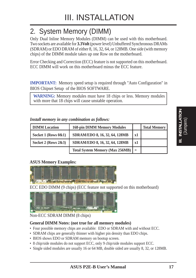# 2. System Memory (DIMM)

Only Dual Inline Memory Modules (DIMM) can be used with this motherboard. Two sockets are available for **3.3Volt** (power level) Unbuffered Synchronous DRAMs (SDRAM) or EDO DRAM of either 8, 16, 32, 64, or 128MB. One side (with memory chips) of the DIMM module takes up one Row on the motherboard.

Error Checking and Correction (ECC) feature is not supported on this motherboard. ECC DIMM will work on this motherboard minus the ECC feature.

**IMPORTANT:** Memory speed setup is required through "Auto Configuration" in BIOS Chipset Setup of the BIOS SOFTWARE.

**WARNING:** Memory modules must have 18 chips or less. Memory modules with more that 18 chips will cause unstable operation.

*Install memory in any combination as follows:*

| <b>DIMM</b> Location    | <b>168-pin DIMM Memory Modules</b>     |                   | <b>Total Memory</b> |
|-------------------------|----------------------------------------|-------------------|---------------------|
| Socket 1 (Rows $0&4$ )  | SDRAM/EDO 8, 16, 32, 64, 128MB         | x1                |                     |
| Socket 2 (Rows $2\&3$ ) | SDRAM/EDO 8, 16, 32, 64, 128MB         | x1                |                     |
|                         | <b>Total System Memory (Max 256MB)</b> | $\qquad \qquad -$ |                     |

#### **ASUS Memory Examples:**



ECC EDO DIMM (9 chips) (ECC feature not supported on this motherboard)



#### Non-ECC SDRAM DIMM (8 chips)

#### **General DIMM Notes: (not true for all memory modules)**

- Four possible memory chips are available: EDO or SDRAM with and without ECC.
- SDRAM chips are generally thinner with higher pin density than EDO chips.
- BIOS shows EDO or SDRAM memory on bootup screen.
- 8 chip/side modules do not support ECC, only 9 chip/side modules support ECC.
- Single sided modules are usually 16 or 64 MB, double sided are usually 8, 32, or 128MB.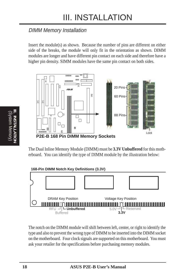### DIMM Memory Installation

Insert the module(s) as shown. Because the number of pins are different on either side of the breaks, the module will only fit in the orientation as shown. DIMM modules are longer and have different pin contact on each side and therefore have a higher pin density. SIMM modules have the same pin contact on both sides.



The Dual Inline Memory Module (DIMM) must be **3.3V Unbuffered** for this motherboard. You can identify the type of DIMM module by the illustration below:



The notch on the DIMM module will shift between left, center, or right to identify the type and also to prevent the wrong type of DIMM to be inserted into the DIMM socket on the motherboard. Four clock signals are supported on this motherboard. You must ask your retailer for the specifications before purchasing memory modules.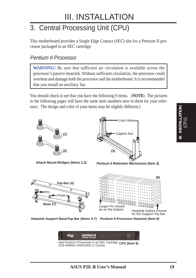# 3. Central Processing Unit (CPU)

This motherboard provides a Single Edge Contact (SEC) slot for a Pentium II processor packaged in an SEC cartridge.

### Pentium II Processor

**WARNING!** Be sure that sufficient air circulation is available across the processor's passive heatsink. Without sufficient circulation, the processor could overheat and damage both the processor and the motherboard. It is recommended that you install an auxiliary fan.

You should check to see that you have the following 9 items. (**NOTE:** The pictures in the following pages will have the same item numbers next to them for your reference. The design and color of your items may be slightly different.)



**Attach Mount Bridges (Items 1,2)**



**Pentium II Retention Mechanism (Item 3)**





Heatsink Support Base/Top Bar (Items 4-7) Pentium II Processor Heatsink (Item 8)

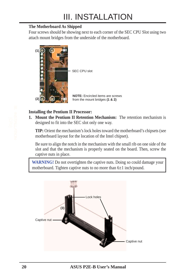#### **The Motherboard As Shipped**

Four screws should be showing next to each corner of the SEC CPU Slot using two attach mount bridges from the underside of the motherboard.



#### **Installing the Pentium II Processor:**

**1. Mount the Pentium II Retention Mechanism:** The retention mechanism is designed to fit into the SEC slot only one way.

**TIP:** Orient the mechanism's lock holes toward the motherboard's chipsets (see motherboard layout for the location of the Intel chipset).

Be sure to align the notch in the mechanism with the small rib on one side of the slot and that the mechanism is properly seated on the board. Then, screw the captive nuts in place.

**WARNING!** Do not overtighten the captive nuts. Doing so could damage your motherboard. Tighten captive nuts to no more than 6±1 inch/pound.

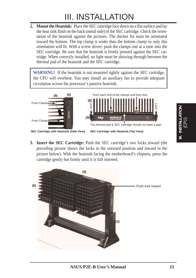**2. Mount the Heatsink:** Place the SEC cartridge face down on a flat surface and lay the heat sink flush on the back (metal side) of the SEC cartridge. Check the orientation of the heatsink against the pictures. The thicker fin must be orientated toward the bottom. The top clamp is wider than the bottom clamp so only this orientation will fit. With a screw driver, push the clamps one at a time into the SEC cartridge. Be sure that the heatsink is firmly pressed against the SEC cartridge. When correctly installed, no light must be showing through between the thermal pad of the heatsink and the SEC cartridge.

**WARNING!** If the heatsink is not mounted tightly against the SEC cartridge, the CPU will overheat. You may install an auxiliary fan to provide adequate circulation across the processor's passive heatsink.



**3. Insert the SEC Cartridge:** Push the SEC cartridge's two locks inward (the preceding picture shows the locks in the outward position and inward in the picture below). With the heatsink facing the motherboard's chipsets, press the cartridge gently but firmly until it is full inserted.



I. INSTALLATION<br>(CPU) **III. INSTALLATION**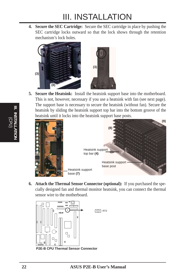**4. Secure the SEC Cartridge:** Secure the SEC cartridge in place by pushing the SEC cartridge locks outward so that the lock shows through the retention mechanism's lock holes.



**5. Secure the Heatsink:** Install the heatsink support base into the motherboard. This is not, however, necessary if you use a heatsink with fan (see next page). The support base is necessary to secure the heatsink (without fan). Secure the heatsink by sliding the heatsink support top bar into the bottom groove of the heatsink until it locks into the heatsink support base posts.



**6. Attach the Thermal Sensor Connector (optional):** If you purchased the specially designed fan and thermal monitor heatsink, you can connect the thermal sensor wire to the motherboard.



**P2E-B CPU Thermal Sensor Connector**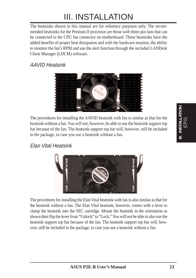The heatsinks shown in this manual are for reference purposes only. The recommended heatsinks for the Pentium II processor are those with three-pin fans that can be connected to the CPU fan connector on motherboard. These heatsinks have the added benefits of proper heat dissipation and with the hardware monitor, the ability to monitor the fan's RPM and use the alert function through the included LANDesk Client Manager (LDCM) software.

### AAVID Heatsink



The procedures for installing the AAVID heatsink with fan is similar as that for the heatsink without a fan. You will not, however, be able to use the heatsink support top bar because of the fan. The heatsink support top bar will, however, still be included in the package, in case you use a heatsink without a fan.

### Elan Vital Heatsink



The procedures for installing the Elan Vital heatsink with fan is also similar as that for the heatsink without a fan. The Elan Vital heatsink, however, comes with a lever to clamp the heatsink into the SEC cartridge. Mount the heatsink in the orientation as shown then flip the lever from "Unlock" to "Lock." You will not be able to also use the heatsink support top bar because of the fan. The heatsink support top bar will, however, still be included in the package, in case you use a heatsink without a fan.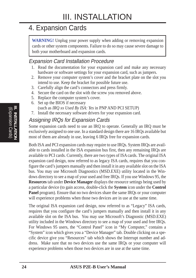# 4. Expansion Cards

**WARNING!** Unplug your power supply when adding or removing expansion cards or other system components. Failure to do so may cause severe damage to both your motherboard and expansion cards.

### Expansion Card Installation Procedure

- 1. Read the documentation for your expansion card and make any necessary hardware or software settings for your expansion card, such as jumpers.
- 2. Remove your computer system's cover and the bracket plate on the slot you intend to use. Keep the bracket for possible future use.
- 3. Carefully align the card's connectors and press firmly.
- 4. Secure the card on the slot with the screw you removed above.
- 5. Replace the computer system's cover.
- 6. Set up the BIOS if necessary (such as *IRQ xx Used By ISA: Yes* in PNP AND PCI SETUP)
- 7. Install the necessary software drivers for your expansion card.

### Assigning IRQs for Expansion Cards

Some expansion cards need to use an IRQ to operate. Generally an IRQ must be exclusively assigned to one use. In a standard design there are 16 IRQs available but most of them are already in use, leaving 6 IRQs free for expansion cards.

Both ISA and PCI expansion cards may require to use IRQs. System IRQs are available to cards installed in the ISA expansion bus first, then any remaining IRQs are available to PCI cards. Currently, there are two types of ISA cards. The original ISA expansion card design, now referred to as legacy ISA cards, requires that you configure the card's jumpers manually and then install it in any available slot on the ISA bus. You may use Microsoft Diagnostics (MSD.EXE) utility located in the Windows directory to see a map of your used and free IRQs. If you use Windows 95, the **Resources** tab under **Device Manager** displays the resource settings being used by a particular device (to gain access, double-click the **System** icon under the **Control Panel** program). Ensure that no two devices share the same IRQs or your computer will experience problems when those two devices are in use at the same time.

The original ISA expansion card design, now referred to as "Legacy" ISA cards, requires that you configure the card's jumpers manually and then install it in any available slot on the ISA bus. You may use Microsoft's Diagnostic (MSD.EXE) utility included in the Windows directory to see a map of your used and free IRQs. For Windows 95 users, the "Control Panel" icon in "My Computer," contains a "System" icon which gives you a "Device Manager" tab. Double clicking on a specific device give you "Resources" tab which shows the Interrupt number and address. Make sure that no two devices use the same IRQs or your computer will experience problems when those two devices are in use at the same time.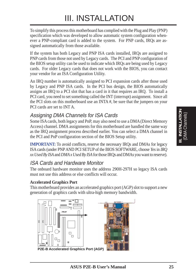To simplify this process this motherboard has complied with the Plug and Play (PNP) specification which was developed to allow automatic system configuration whenever a PNP-compliant card is added to the system. For PNP cards, IRQs are assigned automatically from those available.

If the system has both Legacy and PNP ISA cards installed, IRQs are assigned to PNP cards from those not used by Legacy cards. The PCI and PNP configuration of the BIOS setup utility can be used to indicate which IRQs are being used by Legacy cards. For older Legacy cards that does not work with the BIOS, you can contact your vendor for an ISA Configuration Utility.

An IRQ number is automatically assigned to PCI expansion cards after those used by Legacy and PNP ISA cards. In the PCI bus design, the BIOS automatically assigns an IRQ to a PCI slot that has a card in it that requires an IRQ. To install a PCI card, you need to set something called the INT (interrupt) assignment. Since all the PCI slots on this motherboard use an INTA #, be sure that the jumpers on your PCI cards are set to INT A.

### Assigning DMA Channels for ISA Cards

Some ISA cards, both legacy and PnP, may also need to use a DMA (Direct Memory Access) channel. DMA assignments for this motherboard are handled the same way as the IRQ assignment process described earlier. You can select a DMA channel in the PCI and PnP configuration section of the BIOS Setup utility.

**IMPORTANT:** To avoid conflicts, reserve the necessary IRQs and DMAs for legacy ISA cards (under PNP AND PCI SETUP of the BIOS SOFTWARE, choose *Yes* in *IRQ xx Used By ISA* and *DMA x Used By ISA* for those IRQs and DMAs you want to reserve).

### ISA Cards and Hardware Monitor

The onboard hardware monitor uses the address 290H-297H so legacy ISA cards must not use this address or else conflicts will occur.

#### **Accelerated Graphics Port**

This motherboard provides an accelerated graphics port (AGP) slot to support a new generation of graphics cards with ultra-high memory bandwidth.

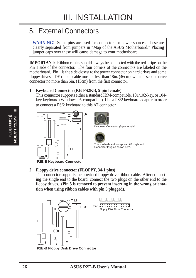# 5. External Connectors

**WARNING!** Some pins are used for connectors or power sources. These are clearly separated from jumpers in "Map of the ASUS Motherboard." Placing jumper caps over these will cause damage to your motherboard.

**IMPORTANT:** Ribbon cables should always be connected with the red stripe on the Pin 1 side of the connector. The four corners of the connectors are labeled on the motherboard. Pin 1 is the side closest to the power connector on hard drives and some floppy drives. IDE ribbon cable must be less than 18in. (46cm), with the second drive connector no more than 6in. (15cm) from the first connector.

#### **1. Keyboard Connector (KB-PS2KB, 5-pin female)**

This connector supports either a standard IBM-compatible, 101/102-key, or 104 key keyboard (Windows 95-compatible). Use a PS/2 keyboard adapter in order to connect a PS/2 keyboard to this AT connector.



#### **2. Floppy drive connector (FLOPPY, 34-1 pins)**

This connector supports the provided floppy drive ribbon cable. After connecting the single end to the board, connect the two plugs on the other end to the floppy drives. **(Pin 5 is removed to prevent inserting in the wrong orientation when using ribbon cables with pin 5 plugged).**

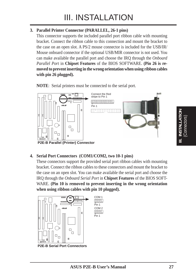#### **3. Parallel Printer Connector (PARALLEL, 26-1 pins)**

This connector supports the included parallel port ribbon cable with mounting bracket. Connect the ribbon cable to this connection and mount the bracket to the case on an open slot. A PS/2 mouse connector is included for the USB/IR/ Mouse onboard connector if the optional USB/MIR connector is not used. You can make available the parallel port and choose the IRQ through the *Onboard Parallel Port* in **Chipset Features** of the BIOS SOFTWARE. **(Pin 26 is removed to prevent inserting in the wrong orientation when using ribbon cables with pin 26 plugged).**

**NOTE**: Serial printers must be connected to the serial port.



**P2E-B Parallel (Printer) Connector**

#### **4. Serial Port Connectors (COM1/COM2, two 10-1 pins)**

These connectors support the provided serial port ribbon cables with mounting bracket. Connect the ribbon cables to these connectors and mount the bracket to the case on an open slot. You can make available the serial port and choose the IRQ through the *Onboard Serial Port* in **Chipset Features** of the BIOS SOFT-WARE. **(Pin 10 is removed to prevent inserting in the wrong orientation when using ribbon cables with pin 10 plugged).**



**P2E-B Serial Port Connectors**

(Connectors) **III. INSTALLATION**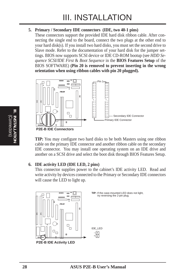#### **5. Primary / Secondary IDE connectors (IDE, two 40-1 pins)**

These connectors support the provided IDE hard disk ribbon cable. After connecting the single end to the board, connect the two plugs at the other end to your hard disk(s). If you install two hard disks, you must set the second drive to Slave mode. Refer to the documentation of your hard disk for the jumper settings. BIOS now supports SCSI device or IDE CD-ROM bootup (see *HDD Sequence SCSI/IDE First* & *Boot Sequence* in the **BIOS Features Setup** of the BIOS SOFTWARE) **(Pin 20 is removed to prevent inserting in the wrong orientation when using ribbon cables with pin 20 plugged).**



**TIP:** You may configure two hard disks to be both Masters using one ribbon cable on the primary IDE connector and another ribbon cable on the secondary IDE connector. You may install one operating system on an IDE drive and another on a SCSI drive and select the boot disk through BIOS Features Setup.

#### **6. IDE activity LED (IDE LED, 2 pins)**

This connector supplies power to the cabinet's IDE activity LED. Read and write activity by devices connected to the Primary or Secondary IDE connectors will cause the LED to light up.

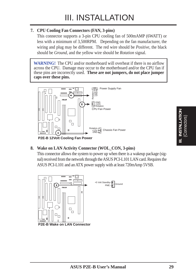#### **7. CPU Cooling Fan Connectors (FAN, 3-pins)**

This connector supports a 3-pin CPU cooling fan of 500mAMP (6WATT) or less with a minimum of 3,500RPM. Depending on the fan manufacturer, the wiring and plug may be different. The red wire should be *Positive*, the black should be *Ground*, and the yellow wire should be *Rotation* signal.

**WARNING!** The CPU and/or motherboard will overheat if there is no airflow across the CPU. Damage may occur to the motherboard and/or the CPU fan if these pins are incorrectly used. **These are not jumpers, do not place jumper caps over these pins.**



**P2E-B 12Volt Cooling Fan Power**

#### **8. Wake on LAN Activity Connector (WOL\_CON, 3-pins)**

This connector allows the system to power up when there is a wakeup package (signal) received from the network through the ASUS PCI-L101 LAN card. Requires the ASUS PCI-L101 and an ATX power supply with at least 720mAmp 5VSB.

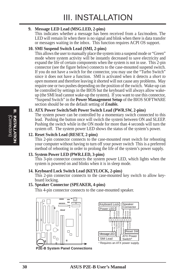#### **9. Message LED Lead (MSG.LED, 2-pins)**

This indicates whether a message has been received from a fax/modem. The LED will remain lit when there is no signal and blink when there is data transfer or messages waiting in the inbox. This function requires ACPI OS support.

#### **10. SMI Suspend Switch Lead (SMI, 2-pins)**

This allows the user to manually place the system into a suspend mode or "Green" mode where system activity will be instantly decreased to save electricity and expand the life of certain components when the system is not in use. This 2-pin connector (see the figure below) connects to the case-mounted suspend switch. If you do not have a switch for the connector, you may use the "Turbo Switch" since it does not have a function. SMI is activated when it detects a *short to open* moment and therefore leaving it shorted will not cause any problems. May require one or two pushes depending on the position of the switch. Wake-up can be controlled by settings in the BIOS but the keyboard will always allow wakeup (the SMI lead cannot wake-up the system). If you want to use this connector, "Suspend Switch" in the **Power Management Setup** of the BIOS SOFTWARE section should be on the default setting of *Enable.*

#### **11. ATX Power Switch/Soft Power Switch Lead (PWR.SW, 2-pins)**

The system power can be controlled by a momentary switch connected to this lead. Pushing the button once will switch the system between ON and SLEEP. Pushing the switch while in the ON mode for more than 4 seconds will turn the system off. The system power LED shows the status of the system's power.

#### **12. Reset Switch Lead (RESET, 2-pins)**

This 2-pin connector connects to the case-mounted reset switch for rebooting your computer without having to turn off your power switch This is a preferred method of rebooting in order to prolong the life of the system's power supply.

#### **13. System Power LED (PWR.LED, 3-pins)**

This 3-pin connector connects the system power LED, which lights when the system is powered on and blinks when it is in sleep mode.

#### **14. Keyboard Lock Switch Lead (KEYLOCK, 2-pins)**

This 2-pin connector connects to the case-mounted key switch to allow keyboard locking.

#### **15. Speaker Connector (SPEAKER, 4-pins)**

This 4-pin connector connects to the case-mounted speaker.



**P2E-B System Panel Connections**

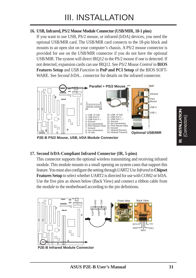#### **16. USB, Infrared, PS/2 Mouse Module Connector (USB/MIR, 18-1 pins)**

If you want to use USB, PS/2 mouse, or infrared (IrDA) devices, you need the optional USB/MIR card. The USB/MIR card connects to the 18-pin block and mounts to an open slot on your computer's chassis. A PS/2 mouse connector is provided for use on the USB/MIR connector if you do not have the optional USB/MIR. The system will direct IRQ12 to the PS/2 mouse if one is detected. If not detected, expansion cards can use IRQ12. See *PS/2 Mouse Control* in **BIOS Features Setup** and *USB Function* in **PnP and PCI Setup** of the BIOS SOFT-WARE. See *Second IrDA...* connector for details on the infrared connector.



**P2E-B PS/2 Mouse, USB, IrDA Module Connector**

#### **17. Second IrDA-Compliant Infrared Connector (IR, 5-pins)**

This connector supports the optional wireless transmitting and receiving infrared module. This module mounts to a small opening on system cases that support this feature. You must also configure the setting through *UART2 Use Infrared* in **Chipset Features Setup** to select whether UART2 is directed for use with COM2 or IrDA. Use the five pins as shown below (Back View) and connect a ribbon cable from the module to the motherboard according to the pin definitions.

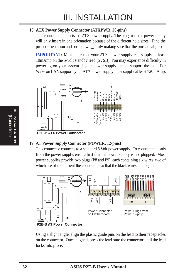#### **18. ATX Power Supply Connector (ATXPWR, 20-pins)**

This connector connects to a ATX power supply. The plug from the power supply will only insert in one orientation because of the different hole sizes. Find the proper orientation and push down \_ërmly making sure that the pins are aligned.

**IMPORTANT:** Make sure that your ATX power supply can supply at least 10mAmp on the 5-volt standby lead (5VSB). You may experience difficulty in powering on your system if your power supply cannot support the load. For Wake on LAN support, your ATX power supply must supply at least 720mAmp.



#### **19. AT Power Supply Connector (POWER, 12-pins)**

This connector connects to a standard 5 Volt power supply. To connect the leads from the power supply, ensure first that the power supply is not plugged. Most power supplies provide two plugs (P8 and P9), each containing six wires, two of which are black. Orient the connectors so that the black wires are together.



Using a slight angle, align the plastic guide pins on the lead to their receptacles on the connector. Once aligned, press the lead onto the connector until the lead locks into place.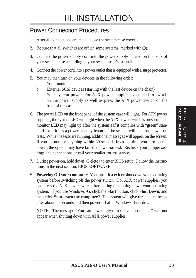### Power Connection Procedures

- 1. After all connections are made, close the system case cover.
- 2. Be sure that all switches are off (in some systems, marked with  $\bigcirc$ ).
- 3. Connect the power supply cord into the power supply located on the back of your system case according to your system user's manual.
- 4. Connect the power cord into a power outlet that is equipped with a surge protector.
- 5. You may then turn on your devices in the following order:
	- a. Your monitor
	- b. External SCSI devices (starting with the last device on the chain)
	- c. Your system power. For ATX power supplies, you need to switch on the power supply as well as press the ATX power switch on the front of the case.
- 6. The power LED on the front panel of the system case will light. For ATX power supplies, the system LED will light when the ATX power switch is pressed. The monitor LED may light up after the system's if it complies with "green" standards or if it has a power standby feature. The system will then run power-on tests. While the tests are running, additional messages will appear on the screen. If you do not see anything within 30 seconds from the time you turn on the power, the system may have failed a power-on test. Recheck your jumper settings and connections or call your retailer for assistance.
- 7. During power-on, hold down <Delete> to enter BIOS setup. Follow the instructions in the next section, BIOS SOFTWARE.
- **\* Powering Off your computer:** You must first exit or shut down your operating system before switching off the power switch. For ATX power supplies, you can press the ATX power switch after exiting or shutting down your operating system. If you use Windows 95, click the **Start** button, click **Shut Down**, and then click **Shut down the computer?**. The system will give three quick beeps after about 30 seconds and then power off after Windows shuts down.

**NOTE:** The message "You can now safely turn off your computer" will not appear when shutting down with ATX power supplies.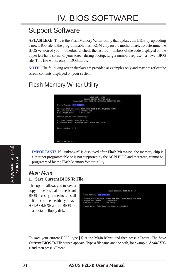# Support Software

**AFLASH.EXE:** This is the Flash Memory Writer utility that updates the BIOS by uploading a new BIOS file to the programmable flash ROM chip on the motherboard. To determine the BIOS version of your motherboard, check the last four numbers of the code displayed on the upper left-hand corner of your screen during bootup. Larger numbers represent a newer BIOS file. This file works only in DOS mode.

**NOTE:** The following screen displays are provided as examples only and may not reflect the screen contents displayed on your system.

## Flash Memory Writer Utility



**IMPORTANT!** If "unknown" is displayed after **Flash Memory:,** the memory chip is either not programmable or is not supported by the ACPI BIOS and therefore, cannot be programmed by the Flash Memory Writer utility.

#### Main Menu

#### **1. Save Current BIOS To File**

This option allows you to save a copy of the original motherboard BIOS in case you need to reinstall it. It is recommended that you save **AFLASH.EXE** and the BIOS file to a bootable floppy disk.



To save your current BIOS, type **[1]** at the **Main Menu** and then press <Enter>. The **Save Current BIOS To File** screen appears. Type a filename and the path, for example, **A:\440XX-1** and then press <Enter>.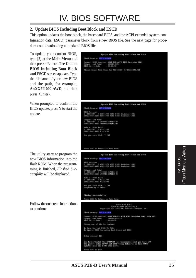#### **2. Update BIOS Including Boot Block and ESCD**

This option updates the boot block, the baseboard BIOS, and the ACPI extended system configuration data (ESCD) parameter block from a new BIOS file. See the next page for procedures on downloading an updated BIOS file.

To update your current BIOS, type **[2]** at the **Main Menu** and then press <Enter>. The **Update BIOS Including Boot Block and ESCD** screen appears. Type the filename of your new BIOS and the path, for example, **A:\XX2I1002.AWD**, and then press <Enter>.

When prompted to confirm the BIOS update, press **Y** to start the update.

The utility starts to program the new BIOS information into the flash ROM. When the programming is finished, *Flashed Successfully* will be displayed.

Follow the onscreen instructions to continue.

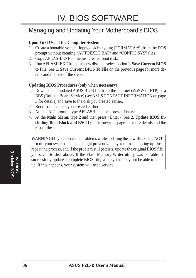## Managing and Updating Your Motherboard's BIOS

#### **Upon First Use of the Computer System**

- 1. Create a bootable system floppy disk by typing [FORMAT A:/S] from the DOS prompt without creating "AUTOEXEC.BAT" and "CONFIG.SYS" files.
- 2. Copy AFLASH.EXE to the just created boot disk.
- 3. Run AFLASH.EXE from this new disk and select option **1. Save Current BIOS to File**. See **1. Save Current BIOS To File** on the previous page for more details and the rest of the steps.

#### **Updating BIOS Procedures (only when necessary)**

- 1. Download an updated ASUS BIOS file from the Internet (WWW or FTP) or a BBS (Bulletin Board Service) (see ASUS CONTACT INFORMATION on page 3 for details) and save to the disk you created earlier.
- 2. Boot from the disk you created earlier.
- 3. At the "A:\" prompt, type **AFLASH** and then press <Enter>.
- 4. At the **Main Menu**, type **2** and then press <Enter>. See **2. Update BIOS Including Boot Block and ESCD** on the previous page for more details and the rest of the steps.

**WARNING!** If you encounter problems while updating the new BIOS, DO NOT turn off your system since this might prevent your system from booting up. Just repeat the process, and if the problem still persists, update the original BIOS file you saved to disk above. If the Flash Memory Writer utility was not able to successfully update a complete BIOS file, your system may not be able to boot up. If this happens, your system will need service.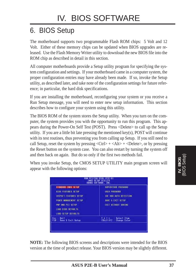# 6. BIOS Setup

The motherboard supports two programmable Flash ROM chips: 5 Volt and 12 Volt. Either of these memory chips can be updated when BIOS upgrades are released. Use the Flash Memory Writer utility to download the new BIOS file into the ROM chip as described in detail in this section.

All computer motherboards provide a Setup utility program for specifying the system configuration and settings. If your motherboard came in a computer system, the proper configuration entries may have already been made. If so, invoke the Setup utility, as described later, and take note of the configuration settings for future reference; in particular, the hard disk specifications.

If you are installing the motherboard, reconfiguring your system or you receive a Run Setup message, you will need to enter new setup information. This section describes how to configure your system using this utility.

The BIOS ROM of the system stores the Setup utility. When you turn on the computer, the system provides you with the opportunity to run this program. This appears during the Power-On Self Test (POST). Press <Delete> to call up the Setup utility. If you are a little bit late pressing the mentioned key(s), POST will continue with its test routines, thus preventing you from calling up Setup. If you still need to call Setup, reset the system by pressing  $\langle \text{Ctrl} \rangle + \langle \text{Alt} \rangle + \langle \text{Delete} \rangle$ , or by pressing the Reset button on the system case. You can also restart by turning the system off and then back on again. But do so only if the first two methods fail.

When you invoke Setup, the CMOS SETUP UTILITY main program screen will appear with the following options:

|                                     | <b>ANNAD SOFTWARE, INC.</b>                                |
|-------------------------------------|------------------------------------------------------------|
| STANDARD DNUS SETUP                 | SUPERVISOR PRSSNURD                                        |
| <b>BIDS FERTIFES SETUP</b>          | USEN PRSSNOOD                                              |
| <b>CHIPSET FERTURES SETUP</b>       | THE HOD AUTO DETECTION                                     |
| <b>FOMER MINAGEMENT SETUP</b>       | SAVE & EXIT SETUP                                          |
| FNP AND PCT SETUP                   | EXIT NITHOUT SAVING                                        |
| <b>LOND B10S SEFRA 15</b>           |                                                            |
| LOAD SETUP DEFAULTS                 |                                                            |
| sc : Dait<br>10 : Save 8 Exit Setup | <b>Select Item</b><br>$(ShiftIF2 =$<br><b>Change Color</b> |

**NOTE:** The following BIOS screens and descriptions were intended for the BIOS version at the time of product release. Your BIOS version may be slightly different.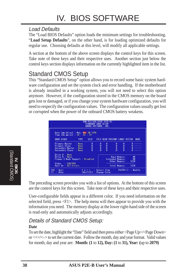### Load Defaults

The "Load BIOS Defaults" option loads the minimum settings for troubleshooting. "**Load Setup Defaults**", on the other hand, is for loading optimized defaults for regular use. Choosing defaults at this level, will modify all applicable settings.

A section at the bottom of the above screen displays the control keys for this screen. Take note of these keys and their respective uses. Another section just below the control keys section displays information on the currently highlighted item in the list.

## Standard CMOS Setup

This "Standard CMOS Setup" option allows you to record some basic system hardware configuration and set the system clock and error handling. If the motherboard is already installed in a working system, you will not need to select this option anymore. However, if the configuration stored in the CMOS memory on the board gets lost or damaged, or if you change your system hardware configuration, you will need to respecify the configuration values. The configuration values usually get lost or corrupted when the power of the onboard CMOS battery weakens.

| Date (mm:dd:vv) : Mon. Mar 38 1998<br>Time [hh:mm:22] : 18   16   29                              |                                                   |    |      |     |                                         |                     |           |      |
|---------------------------------------------------------------------------------------------------|---------------------------------------------------|----|------|-----|-----------------------------------------|---------------------|-----------|------|
| <b>HARD DISKS</b>                                                                                 | <b>TWFE</b>                                       | 訂准 |      |     | CYLS HEAD PRECOMP LANDZ SECTOR          |                     |           | HODE |
| <b>Primary Master</b><br>Frimary Slave<br>Secondary Master<br>Secondary Slave                     | None<br><b>None</b><br><b>Nome</b><br><b>Nome</b> | å  | ,,,, | --- | 计算符合                                    | п<br>开作价            | Ĥ         |      |
| Drive H .: Name<br>Drive B : None<br>Floppy 3 Node Support : Disabled<br><b>EGA/VGA</b><br>Video. |                                                   |    |      |     | <b>Extended Newcry</b><br>Other Memory: | <b>Base Memory:</b> | 张<br>512K |      |

The preceding screen provides you with a list of options. At the bottom of this screen are the control keys for this screen. Take note of these keys and their respective uses.

User-configurable fields appear in a different color. If you need information on the selected field, press <F1>. The help menu will then appear to provide you with the information you need. The memory display at the lower right-hand side of the screen is read-only and automatically adjusts accordingly.

## Details of Standard CMOS Setup:

#### **Date**

To set the date, highlight the "Date" field and then press either <Page Up>/<Page Down> or  $\langle + \rangle$   $\langle - \rangle$  to set the current date. Follow the month, day and year format. Valid values for month, day and year are: **Month: (1** to **12), Day: (1** to **31), Year: (**up to **2079)**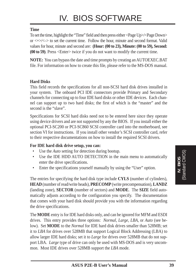#### **Time**

To set the time, highlight the "Time" field and then press either <Page Up>/<Page Down> or  $\langle + \rangle$  to set the current time. Follow the hour, minute and second format. Valid values for hour, minute and second are: **(Hour: (00 to 23), Minute: (00 to 59), Second: (00 to 59)**. Press <Enter> twice if you do not want to modify the current time.

**NOTE:** You can bypass the date and time prompts by creating an AUTOEXEC.BAT file. For information on how to create this file, please refer to the MS-DOS manual.

#### **Hard Disks**

This field records the specifications for all non-SCSI hard disk drives installed in your system. The onboard PCI IDE connectors provide Primary and Secondary channels for connecting up to four IDE hard disks or other IDE devices. Each channel can support up to two hard disks; the first of which is the "master" and the second is the "slave".

Specifications for SCSI hard disks need not to be entered here since they operate using device drivers and are not supported by any the BIOS. If you install either the optional PCI-SC200 or PCI-SC860 SCSI controller card into the motherboard, see section VI for instructions. If you install other vendor's SCSI controller card, refer to their respective documentations on how to install the required SCSI drivers.

#### **For IDE hard disk drive setup, you can:**

- Use the *Auto* setting for detection during bootup.
- Use the IDE HDD AUTO DETECTION in the main menu to automatically enter the drive specifications.
- Enter the specifications yourself manually by using the "User" option.

The entries for specifying the hard disk type include **CYLS** (number of cylinders), **HEAD** (number of read/write heads), **PRECOMP** (write precompensation), **LANDZ** (landing zone), **SECTOR** (number of sectors) and **MODE**. The **SIZE** field automatically adjusts according to the configuration you specify. The documentation that comes with your hard disk should provide you with the information regarding the drive specifications.

The **MODE** entry is for IDE hard disks only, and can be ignored for MFM and ESDI drives. This entry provides three options: *Normal, Large, LBA*, or *Auto* (see below). Set **MODE** to the *Normal* for IDE hard disk drives smaller than 528MB; set it to *LBA* for drives over 528MB that support Logical Block Addressing (LBA) to allow larger IDE hard disks; set it to *Large* for drives over 528MB that do not support LBA. *Large* type of drive can only be used with MS-DOS and is very uncommon. Most IDE drives over 528MB support the *LBA* mode.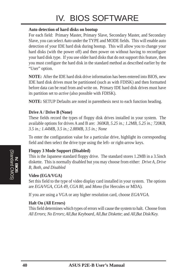# IV. BIOS SOFTWARE

#### **Auto detection of hard disks on bootup**

For each field: Primary Master, Primary Slave, Secondary Master, and Secondary Slave, you can select *Auto* under the TYPE and MODE fields. This will enable auto detection of your IDE hard disk during bootup. This will allow you to change your hard disks (with the power off) and then power on without having to reconfigure your hard disk type. If you use older hard disks that do not support this feature, then you must configure the hard disk in the standard method as described earlier by the "User" option.

**NOTE:** After the IDE hard disk drive information has been entered into BIOS, new IDE hard disk drives must be partitioned (such as with FDISK) and then formatted before data can be read from and write on. Primary IDE hard disk drives must have its partition set to *active* (also possible with FDISK).

**NOTE:** SETUP Defaults are noted in parenthesis next to each function heading.

#### **Drive A / Drive B (None)**

These fields record the types of floppy disk drives installed in your system. The available options for drives A and B are: *360KB, 5.25 in.; 1.2MB, 5.25 in.; 720KB, 3.5 in.; 1.44MB, 3.5 in.; 2.88MB, 3.5 in.; None*

To enter the configuration value for a particular drive, highlight its corresponding field and then select the drive type using the left- or right-arrow keys.

#### **Floppy 3 Mode Support (Disabled)**

This is the Japanese standard floppy drive. The standard stores 1.2MB in a 3.5inch diskette. This is normally disabled but you may choose from either: *Drive A, Drive B, Both, and Disabled*

#### **Video (EGA/VGA)**

Set this field to the type of video display card installed in your system. The options are *EGA/VGA*, *CGA 49*, *CGA 80*, and *Mono* (for Hercules or MDA)*.*

If you are using a VGA or any higher resolution card, choose *EGA/VGA*.

#### **Halt On (All Errors)**

This field determines which types of errors will cause the system to halt. Choose from *All Errors*; *No Errors*; *All*,*But Keyboard, All*,*But Diskette*; and *All,But Disk/Key.*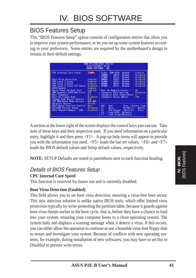## BIOS Features Setup

This "BIOS Features Setup" option consists of configuration entries that allow you to improve your system performance, or let you set up some system features according to your preference. Some entries are required by the motherboard's design to remain in their default settings.

| <b>FCL/15A BIOS (F2E-B)</b><br>ним<br><b>BIOS FEATURES SETUP</b><br>ANDRO SOFTWARE, INC.                                                                                                                                                                                                                                                                                                                                                                                                  |                                                                                                                                                                                                                                                                                                                                                                                                                                                                                                                                                             |
|-------------------------------------------------------------------------------------------------------------------------------------------------------------------------------------------------------------------------------------------------------------------------------------------------------------------------------------------------------------------------------------------------------------------------------------------------------------------------------------------|-------------------------------------------------------------------------------------------------------------------------------------------------------------------------------------------------------------------------------------------------------------------------------------------------------------------------------------------------------------------------------------------------------------------------------------------------------------------------------------------------------------------------------------------------------------|
| <b>CPU Internal Core Speed</b><br>120Mhz<br><b>Boat Virus Detection</b><br>Enshlad<br>CPU Lovel 1 Cache<br>Enab Lind<br>CPU Level 2 Cache<br>Enabled<br>CPU Level 2 Cathe ECC Check<br><b>Disabled</b><br><b>B105 Update</b><br>Enab1ed<br><b>Ouick Power On Self Test</b><br>Enabled<br>HDD Sequence SCSI/IDE First<br>ΠE<br>n.c<br><b>Boot Sequence</b><br><b>Disabled</b><br><b>Boot Up Floopy Seek</b><br>Floppy Disk Access Control<br>n ru<br>HDD NEX<br>IDE HDD Block Mode Sectors | Video<br><b>ROM BITIS</b><br>Shadow<br><b>English</b><br><b>CS880</b><br><b>CBFFF</b><br>Shadow<br><b>Disabled</b><br>00900<br><b>CFFFF</b><br><b>Disabled</b><br>Shadow<br>۰<br>02008<br><b>DSFFF</b><br><b>Disabled</b><br>Shadow<br>٠<br><b>DABBB</b><br><b>DTFFF</b><br>Disabled<br>$\sim$<br>Shadow<br>DBFFF<br>78008<br>Disabled<br>Shadow<br>÷<br>DCARR<br><b>NEFFE</b><br><b>Disabled</b><br>Shadon<br><b>Boot Up NumLock Status</b><br>0n<br>lypematic Rate Setting<br>Dissbled<br>vpomatic Rate (Chars/Sec);<br>6<br>250<br>Voematic Delaw (Msec) |
| Security Option<br>Sustem<br>PS/2 Mouse Function Control<br>Butn<br>PCI/WGA Palette Snoop<br><b>llisabled</b><br>05/2 Unboard Newary > 66M<br><b>Disabled</b>                                                                                                                                                                                                                                                                                                                             | <b>Duit</b><br>Salaci Ilem<br>TIME ST<br>FSC<br>Heto:<br>PU/PU/+/-<br>Modify<br>FI<br>ŧ5<br><b>Old Values</b><br>[Shift]F2<br>Color<br>F6<br><b>Load BIDS:</b><br>Defaul is<br>Load Setup Definalis                                                                                                                                                                                                                                                                                                                                                         |

A section at the lower right of the screen displays the control keys you can use. Take note of these keys and their respective uses. If you need information on a particular entry, highlight it and then press  $\langle F1 \rangle$ . A pop-up help menu will appear to provide you with the information you need. <F5> loads the last set values, <F6> and <F7> loads the BIOS default values and Setup default values, respectively.

**NOTE:** SETUP Defaults are noted in parenthesis next to each function heading.

### Details of BIOS Features Setup

#### **CPU Internal Core Speed**

This function is reserved for future use and is currently disabled.

#### **Boot Virus Detection (Enabled)**

This field allows you to set boot virus detection, ensuring a virus-free boot sector. This new antivirus solution is unlike native BIOS tools, which offer limited virus protection typically by write-protecting the partition table, because it guards against boot virus threats earlier in the boot cycle, that is, before they have a chance to load into your system, ensuring your computer boots to a clean operating system. The system halts and displays a warning message when it detects a virus. If this occurs, you can either allow the operation to continue or use a bootable virus-free floppy disk to restart and investigate your system. Because of conflicts with new operating systems, for example, during installation of new softwares, you may have to set this to *Disabled* to prevent write errors.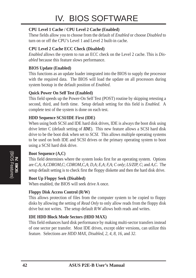#### **CPU Level 1 Cache / CPU Level 2 Cache (Enabled)**

These fields allow you to choose from the default of *Enabled* or choose *Disabled* to turn on or off the CPU's Level 1 and Level 2 built-in cache.

#### **CPU Level 2 Cache ECC Check (Disabled)**

*Enabled* allows the system to run an ECC check on the Level 2 cache. This is *Disabled* because this feature slows performance.

#### **BIOS Update (Enabled)**

This functions as an update loader integrated into the BIOS to supply the processor with the required data. The BIOS will load the update on all processors during system bootup in the default position of *Enabled*.

#### **Quick Power On Self Test (Enabled)**

This field speeds up the Power-On Self Test (POST) routine by skipping retesting a second, third, and forth time. Setup default setting for this field is *Enabled*. A complete test of the system is done on each test.

#### **HDD Sequence SCSI/IDE First (IDE)**

When using both SCSI and IDE hard disk drives, IDE is always the boot disk using drive letter C (default setting of *IDE*). This new feature allows a SCSI hard disk drive to be the boot disk when set to *SCSI*. This allows multiple operating systems to be used on both IDE and SCSI drives or the primary operating system to boot using a SCSI hard disk drive.

#### **Boot Sequence (A,C)**

This field determines where the system looks first for an operating system. Options are *C,A*; *A,CDROM,C*; *CDROM,C,A*; *D,A*; *E,A*; *F,A*; *C only*; *LS/ZIP, C*; and *A,C*. The setup default setting is to check first the floppy diskette and then the hard disk drive.

#### **Boot Up Floppy Seek (Disabled)**

When enabled, the BIOS will seek drive A once.

#### **Floppy Disk Access Control (R/W)**

This allows protection of files from the computer system to be copied to floppy disks by allowing the setting of *Read Only* to only allow reads from the floppy disk drive but not writes. The setup default *R/W* allows both reads and writes.

#### **IDE HDD Block Mode Sectors (HDD MAX)**

This field enhances hard disk performance by making multi-sector transfers instead of one sector per transfer. Most IDE drives, except older versions, can utilize this feature. Selections are *HDD MAX*, *Disabled*, *2*, *4*, *8*, *16*, and *32*.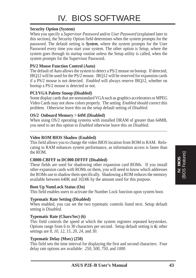#### **Security Option (System)**

When you specify a *Supervisor Password* and/or *User Password* (explained later in this section), the Security Option field determines when the system prompts for the password. The default setting is *System*, where the system prompts for the User Password every time you start your system. The other option is *Setup*, where the system goes through its startup routine unless the Setup utility is called, when the system prompts for the Supervisor Password.

#### **PS/2 Mouse Function Control (Auto)**

The default of *Auto* allows the system to detect a PS/2 mouse on bootup. If detected, IRQ12 will be used for the PS/2 mouse. IRQ12 will be reserved for expansion cards if a PS/2 mouse is not detected. *Enabled* will always reserve IRQ12, whether on bootup a PS/2 mouse is detected or not.

#### **PCI/VGA Palette Snoop (Disabled)**

Some display cards that are nonstandard VGA such as graphics accelerators or MPEG Video Cards may not show colors properly. The setting *Enabled* should correct this problem. Otherwise leave this on the setup default setting of *Disabled*.

#### **OS/2 Onboard Memory > 64M (Disabled)**

When using OS/2 operating systems with installed DRAM of greater than 64MB, you need to set this option to *Enabled* otherwise leave this on *Disabled*.

......................................................................................................................................

#### **Video ROM BIOS Shadow (Enabled)**

This field allows you to change the video BIOS location from ROM to RAM. Relocating to RAM enhances system performance, as information access is faster than the ROM.

#### **C8000-CBFFF to DC000-DFFFF (Disabled)**

These fields are used for shadowing other expansion card ROMs. If you install other expansion cards with ROMs on them, you will need to know which addresses the ROMs use to shadow them specifically. Shadowing a ROM reduces the memory available between 640K and 1024K by the amount used for this purpose.

#### **Boot Up NumLock Status (On)**

This field enables users to activate the Number Lock function upon system boot.

#### **Typematic Rate Setting (Disabled)**

When enabled, you can set the two typematic controls listed next. Setup default setting is *Disabled*.

#### **Typematic Rate (Chars/Sec) (6)**

This field controls the speed at which the system registers repeated keystrokes. Options range from 6 to 30 characters per second. Setup default setting is *6;* other settings are *8*, *10*, *12*, *15*, *20*, *24*, and *30*.

#### **Typematic Delay (Msec) (250)**

This field sets the time interval for displaying the first and second characters. Four delay rate options are available: *250*, *500*, *750*, and *1000*.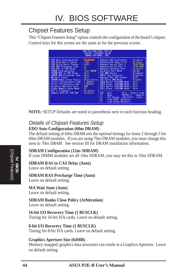### Chipset Features Setup

This "Chipset Features Setup" option controls the configuration of the board's chipset. Control keys for this screen are the same as for the previous screen.

| 7180<br>-8105<br>CHIPSET FEBTURES SETUP<br>ANNATO SOFTWARE, INC.                                                                                                                                                                                                                                                                                                                              |                                                                                                                                                                                                   |                                                                                                                                                                                                                                                                                                                                                                                                                               |                                                                                                                                                                                           |
|-----------------------------------------------------------------------------------------------------------------------------------------------------------------------------------------------------------------------------------------------------------------------------------------------------------------------------------------------------------------------------------------------|---------------------------------------------------------------------------------------------------------------------------------------------------------------------------------------------------|-------------------------------------------------------------------------------------------------------------------------------------------------------------------------------------------------------------------------------------------------------------------------------------------------------------------------------------------------------------------------------------------------------------------------------|-------------------------------------------------------------------------------------------------------------------------------------------------------------------------------------------|
| EDO Huto Configuration<br>EDO Read Burst Timing<br>EDO Nrita Burst Timing<br>EDO RAS Precharge Time<br>EDD RAS to CAS Delay<br>SURFM Configuration<br>SURFM RRS to CRS Delay<br>SDRAW RAS Precharge Time :<br><b>Mi Wait State</b><br>SORFM Banks Close Policy<br>16-bit I/D Recovery Time<br>8-bit 1/0 Recovery line<br>Graphics Roerture Size<br>Video Memory Cache Mode<br>PCI 2.1 Support | <b>Disabled</b><br>$-333$<br>$-333$<br>持<br>12mm SDSON<br><b>Buto</b><br><b>Rute:</b><br><b>Bute</b><br><b>Arbitration</b><br><b>A RUSCLK</b><br><b>8 BISCLK</b><br>4MB<br>ur.<br><b>Bisabled</b> | <b>Onboard FDC Controller</b><br><b>Onboard FDC Swap R &amp; B</b><br><b>Onboard Serial Port I</b><br><b>Opboard Serial Port 2</b><br><b>Onhoard Parallel Port</b><br><b>Parallel Port Mode</b><br><b>ECP UMA Select</b><br>URRT2 Use Infrared<br>Oriboard PCI IDE Enable<br><b>IDE Ultra DMH Mode</b><br>IDEB Master PIG/DNA Mode<br>IDEU Slave - PIO/DOR Nede<br><b>IDE1 Master PIG/DMA Mode</b><br>TDE1 Slave PT0/DNR Node | Disabled<br>No Swap<br><b>SEBUTERA</b><br><b>JEBRATESA</b><br>Disabled<br><b>Normal</b><br>Disabled<br>Dischled<br>Bo Th<br>Disable<br><b>Butn</b><br>Buto.<br><b>Ruto</b><br><b>Buth</b> |
| Memory Bole At 15M-16M                                                                                                                                                                                                                                                                                                                                                                        | Disabled                                                                                                                                                                                          | ESC<br>Dui 1<br>PU/PD/+/- +<br>묞<br>Help.<br>[Shift]F2<br><b>Old Values</b><br>56<br>Load BIOS Defaults<br>Lead Setup Defaults                                                                                                                                                                                                                                                                                                | <b>TI++ : Select Item</b><br><b>Nodify</b><br>Color                                                                                                                                       |

**NOTE:** SETUP Defaults are noted in parenthesis next to each function heading.

#### Details of Chipset Features Setup **EDO Auto Configuration (60ns DRAM)**

The default setting of *60ns DRAM* sets the optimal timings for items 2 through 5 for 60ns DRAM modules. If you are using 70ns DRAM modules, you must change this item to *70ns DRAM*. See section III for DRAM installation information.

#### **SDRAM Configuration (12ns SDRAM)**

If your DIMM modules are all 10ns SDRAM, you may set this to 10ns SDRAM.

#### **SDRAM RAS to CAS Delay (Auto)**

Leave on default setting.

#### **SDRAM RAS Precharge Time (Auto)**

Leave on default setting.

#### **MA Wait State (Auto)**

Leave on default setting.

**SDRAM Banks Close Policy (Arbitration)**

Leave on default setting.

#### **16-bit I/O Recovery Time (1 BUSCLK)**

Timing for 16-bit ISA cards. Leave on default setting.

#### **8-bit I/O Recovery Time (1 BUSCLK)**

Timing for 8-bit ISA cards. Leave on default setting.

#### **Graphics Aperture Size (64MB)**

Memory-mapped, graphics data structures can reside in a Graphics Aperture. Leave on default setting.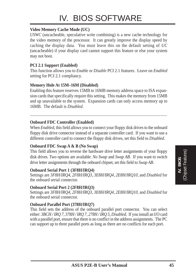# IV. BIOS SOFTWARE

#### **Video Memory Cache Mode (UC)**

*USWC* (uncacheable, speculative write combining) is a new cache technology for the video memory of the processor. It can greatly improve the display speed by caching the display data. You must leave this on the default setting of *UC* (uncacheable) if your display card cannot support this feature or else your system may not boot.

#### **PCI 2.1 Support (Enabled)**

This function allows you to *Enable* or *Disable* PCI 2.1 features. Leave on *Enabled* setting for PCI 2.1 compliancy.

#### **Memory Hole At 15M–16M (Disabled)**

Enabling this feature reserves 15MB to 16MB memory address space to ISA expansion cards that specifically require this setting. This makes the memory from 15MB and up unavailable to the system. Expansion cards can only access memory up to 16MB. The default is *Disabled*.

#### ....................................................................................................................................

#### **Onboard FDC Controller (Enabled)**

When *Enabled*, this field allows you to connect your floppy disk drives to the onboard floppy disk drive connector instead of a separate controller card. If you want to use a different controller card to connect the floppy disk drives, set this field to *Disabled*.

#### **Onboard FDC Swap A & B (No Swap)**

This field allows you to reverse the hardware drive letter assignments of your floppy disk drives. Two options are available: *No Swap* and *Swap AB*. If you want to switch drive letter assignments through the onboard chipset, set this field to *Swap AB*.

#### **Onboard Serial Port 1 (3F8H/IRQ4)**

Settings are *3F8H/IRQ4*, *2F8H/IRQ3, 3E8H/IRQ4, 2E8H/IRQ10,* and *Disabled* for the onboard serial connector.

#### **Onboard Serial Port 2 (2F8H/IRQ3)**

Settings are *3F8H/IRQ4, 2F8H/IRQ3*, *3E8H/IRQ4, 2E8H/IRQ10,* and *Disabled* for the onboard serial connector.

#### **Onboard Parallel Port (378H/IRQ7)**

This field sets the address of the onboard parallel port connector. You can select either: *3BCH / IRQ 7, 378H / IRQ 7, 278H / IRQ 5, Disabled.* If you install an I/O card with a parallel port, ensure that there is no conflict in the address assignments. The PC can support up to three parallel ports as long as there are no conflicts for each port.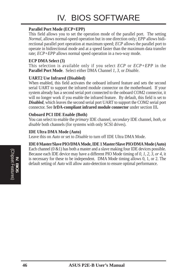# IV. BIOS SOFTWARE

#### **Parallel Port Mode (ECP+EPP)**

This field allows you to set the operation mode of the parallel port. The setting *Normal*, allows normal-speed operation but in one direction only; *EPP* allows bidirectional parallel port operation at maximum speed; *ECP* allows the parallel port to operate in bidirectional mode and at a speed faster than the maximum data transfer rate; *ECP+EPP* allows normal speed operation in a two-way mode.

#### **ECP DMA Select (3)**

This selection is available only if you select *ECP* or *ECP+EPP* in the **Parallel Port Mode**. Select either DMA Channel *1, 3*, or *Disable*.

#### **UART2 Use Infrared (Disabled)**

When enabled, this field activates the onboard infrared feature and sets the second serial UART to support the infrared module connector on the motherboard. If your system already has a second serial port connected to the onboard COM2 connector, it will no longer work if you enable the infrared feature. By default, this field is set to *Disabled*, which leaves the second serial port UART to support the COM2 serial port connector. See **IrDA-compliant infrared module connector** under section III**.**

#### **Onboard PCI IDE Enable (Both)**

You can select to enable the *primary* IDE channel, *secondary* IDE channel, *both*, or *disable* both channels (for systems with only SCSI drives).

#### **IDE Ultra DMA Mode (Auto)**

Leave this on *Auto* or set to *Disable* to turn off IDE Ultra DMA Mode.

#### **IDE 0 Master/Slave PIO/DMA Mode, IDE 1 Master/Slave PIO/DMA Mode (Auto)**

Each channel  $(0 \& 1)$  has both a master and a slave making four IDE devices possible. Because each IDE device may have a different PIO Mode timing of *0, 1, 2, 3, or 4*, it is necessary for these to be independent. DMA Mode timing allows 0, 1, or 2. The default setting of *Auto* will allow auto-detection to ensure optimal performance.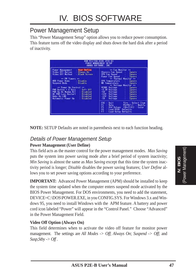### Power Management Setup

This "Power Management Setup" option allows you to reduce power consumption. This feature turns off the video display and shuts down the hard disk after a period of inactivity.

|                                                                                                                                                                                                                                                                                                                                                                                                                                                | <b>OMAID SOFTWARE, INC.</b>                                                                                                                                                                                                                                                                                                                                                                                                                                                                                                                                                                                                                      |
|------------------------------------------------------------------------------------------------------------------------------------------------------------------------------------------------------------------------------------------------------------------------------------------------------------------------------------------------------------------------------------------------------------------------------------------------|--------------------------------------------------------------------------------------------------------------------------------------------------------------------------------------------------------------------------------------------------------------------------------------------------------------------------------------------------------------------------------------------------------------------------------------------------------------------------------------------------------------------------------------------------------------------------------------------------------------------------------------------------|
| User Define<br>Power Management<br>Video Off Option<br><b>Always On</b><br><b>Yideo Off Mathed</b><br><b>Black Screen</b><br>as FH TINOES.<br><b>HDD Power Down</b><br><b>Uisable</b><br>Disable<br>Suspend Node<br>** Power the Cantrol<br><br>Soft Uff<br>PNR Button € 4 Secs<br><b>PNR Up On Modem Act</b><br>Disshled<br><b>AC PNR Loss Restart</b><br>Disabled<br><b>Vake On LAN</b><br>Dissbled<br><b>Rutomatic Power Up</b><br>Disabled | ** Ean Monitor **<br>Chassis Fan Speed ::<br>Isnore<br><b>CPU Fan Speed</b><br>Ignate<br>Power Fan Speed<br>Impre<br>** Thermal Monstor **<br><b>CPU Temperature</b><br>Ionnes<br><b>MU Temperature</b><br><b>Innore</b><br>** Voltage Monstor **<br><b>VCORE Voltage</b><br>Ignary<br>+3.3V Voltage<br>Impre<br>-50<br>Voltage<br>Ignare<br>$+12V$<br>Veltage<br>lonora<br>$-12V$<br>Voltage<br>Isnare<br>-50<br>Vol Lugn<br>Ignure<br>ESC<br>†1++ : Select Item<br><b>But 1</b><br>日内区<br>Help.<br>PU/PO/+/- +<br><b>Nodify</b><br>[Shift]F2<br><b>Old Values</b><br>Color<br><b>Befaults</b><br>Load BIBS<br>FI<br><b>Load Setup Defaults</b> |

**NOTE:** SETUP Defaults are noted in parenthesis next to each function heading.

### Details of Power Management Setup

#### **Power Management (User Define)**

This field acts as the master control for the power management modes. *Max Saving* puts the system into power saving mode after a brief period of system inactivity; *Min Saving* is almost the same as *Max Saving* except that this time the system inactivity period is longer; *Disable* disables the power saving features; *User Define* allows you to set power saving options according to your preference.

**IMPORTANT:** Advanced Power Management (APM) should be installed to keep the system time updated when the computer enters suspend mode activated by the BIOS Power Management. For DOS environments, you need to add the statement, DEVICE=C:\DOS\POWER.EXE, in you CONFIG.SYS. For Windows 3.x and Windows 95, you need to install Windows with the APM feature. A battery and power cord icon labeled "Power" will appear in the "Control Panel." Choose "Advanced" in the Power Management Field.

#### **Video Off Option (Always On)**

This field determines when to activate the video off feature for monitor power management. The settings are *All Modes -> Off*; *Always On*; *Suspend -> Off*; and *Susp,Stby -> Off .*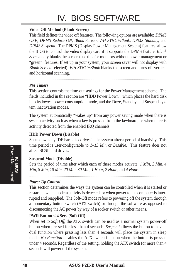# IV. BIOS SOFTWARE

#### **Video Off Method (Blank Screen)**

This field defines the video off features. The following options are available: *DPMS OFF*, *DPMS Reduce ON*, *Blank Screen*, *V/H SYNC+Blank, DPMS Standby,* and *DPMS Suspend*. The DPMS (Display Power Management System) features allow the BIOS to control the video display card if it supports the DPMS feature. *Blank Screen* only blanks the screen (use this for monitors without power management or "green" features. If set up in your system, your screen saver will not display with *Blank Screen* selected). *V/H SYNC+Blank* blanks the screen and turns off vertical and horizontal scanning.

#### *PM Timers*

This section controls the time-out settings for the Power Management scheme. The fields included in this section are "HDD Power Down", which places the hard disk into its lowest power consumption mode, and the Doze, Standby and Suspend system inactivation modes.

The system automatically "wakes up" from any power saving mode when there is system activity such as when a key is pressed from the keyboard, or when there is activity detected from the enabled IRQ channels.

#### **HDD Power Down (Disable)**

Shuts down any IDE hard disk drives in the system after a period of inactivity. This time period is user-configurable to *1–15 Min* or *Disable*. This feature does not affect SCSI hard drives.

#### **Suspend Mode (Disable)**

Sets the period of time after which each of these modes activate: *1 Min*, *2 Min*, *4 Min*, *8 Min*, *10 Min*, *20 Min*, *30 Min*, *1 Hour, 2 Hour*, and *4 Hour*.

.......................................................................................................................................

#### *Power Up Control*

This section determines the ways the system can be controlled when it is started or restarted, when modem activity is detected, or when power to the computer is interrupted and reapplied. The Soft-Off mode refers to powering off the system through a momentary button switch (ATX switch) or through the software as opposed to disconnecting the AC power by way of a rocker switch or other means.

#### **PWR Button < 4 Secs (Soft Off)**

When set to *Soft Off*, the ATX switch can be used as a normal system power-off button when pressed for less than 4 seconds. *Suspend* allows the button to have a dual function where pressing less than 4 seconds will place the system in sleep mode. *No Function* disables the ATX switch function when the button is pressed under 4 seconds. Regardless of the setting, holding the ATX switch for more than 4 seconds will power off the system.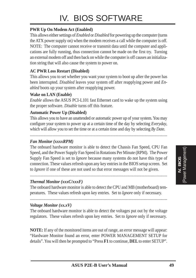#### **PWR Up On Modem Act (Enabled)**

This allows either settings of *Enabled* or *Disabled* for powering up the computer (turns the ATX power supply on) when the modem receives a call while the computer is off. NOTE: The computer cannot receive or transmit data until the computer and applications are fully running, thus connection cannot be made on the first try. Turning an external modem off and then back on while the computer is off causes an initialization string that will also cause the system to power on.

#### **AC PWR Loss Restart (Disabled)**

This allows you to set whether you want your system to boot up after the power has been interrupted. *Disabled* leaves your system off after reapplying power and *Enabled* boots up your system after reapplying power.

#### **Wake on LAN (Enable)**

*Enable* allows the ASUS PCI-L101 fast Ethernet card to wake up the system using the proper software. *Disable* turns off this feature.

#### **Automatic Power Up (Disabled)**

This allows you to have an unattended or automatic power up of your system. You may configure your system to power up at a certain time of the day by selecting *Everyday*, which will allow you to set the time or at a certain time and day by selecting *By Date.*

.....................................................................................................................................

#### *Fan Monitor (xxxxRPM)*

The onboard hardware monitor is able to detect the Chassis Fan Speed, CPU Fan Speed, and the Power Supply Fan Speed in Rotations Per Minute (RPM). The Power Supply Fan Speed is set to *Ignore* because many systems do not have this type of connection. These values refresh upon any key entries in the BIOS setup screen. Set to *Ignore* if one of these are not used so that error messages will not be given.

#### *Thermal Monitor (xxxC/xxxF)*

The onboard hardware monitor is able to detect the CPU and MB (motherboard) temperatures. These values refresh upon key entries. Set to *Ignore* only if necessary.

.....................................................................................................................................

.....................................................................................................................................

#### *Voltage Monitor (xx.xV)*

The onboard hardware monitor is able to detect the voltages put out by the voltage regulators. These values refresh upon key entries. Set to *Ignore* only if necessary.

**NOTE:** If any of the monitored items are out of range, an error message will appear: "Hardware Monitor found an error, enter POWER MANAGEMENT SETUP for details". You will then be prompted to "Press **F1** to continue, **DEL** to enter SETUP".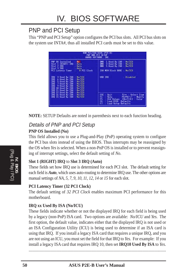### PNP and PCI Setup

This "PNP and PCI Setup" option configures the PCI bus slots. All PCI bus slots on the system use INTA#, thus all installed PCI cards must be set to this value.

|                                                                                                                                                                                                                                                                                                                                              | AMMID SOFTWARE, INC.                                                                                                                                                                |
|----------------------------------------------------------------------------------------------------------------------------------------------------------------------------------------------------------------------------------------------------------------------------------------------------------------------------------------------|-------------------------------------------------------------------------------------------------------------------------------------------------------------------------------------|
| <b>PNP OS Installed</b><br>No.<br>Slot 1 (RIGHT) IRQ<br>Ruto<br>\$1at 2 IHU<br><b>Butm</b><br>\$lot 3 IRO<br><b>Huto</b>                                                                                                                                                                                                                     | 1 Used By ISB<br>No/TCU<br>OHH<br><b>DATH</b><br>3 Used By ISB :<br>No/TCU<br><b>DMIT</b><br>5 Used By ISS<br>No./IEU                                                               |
| <b>PCI Latency Timer</b><br>0 PCI Clock                                                                                                                                                                                                                                                                                                      | ISR MEN Block BRSE :<br>No/TCU                                                                                                                                                      |
| 調調器<br>No/TCU<br>3 Used By ISR<br>6 Used By 150<br><b>Bo/TED</b><br>5 Used By ISB<br>No. TCU<br>7 Used By ISB<br>No./TCU<br>9 Used By ISR<br><b>Bo/TEU</b><br>IHO:<br>10 Used By ISR<br>ho/TCU<br>11 Used By 198<br>IHO<br>No/TCU<br>IHD.<br>12 Used By 198<br>No/TCU<br>IRO 14 Used By ISB<br><b>No/TCU</b><br>ho/TEU<br>IRO 15 Used By ISA | + Disabled<br>USB THO                                                                                                                                                               |
|                                                                                                                                                                                                                                                                                                                                              | ESC<br>Dui 1<br><b>Select Item</b><br>11++ 0<br>Help<br>PU/PD/+/-<br><b>Nodify</b><br>[Shift]F2<br>Color<br><b>Old Values</b><br>jά<br>Load BIOS<br>Defaults<br>Lead Setup Defaults |

**NOTE:** SETUP Defaults are noted in parenthesis next to each function heading.

#### Details of PNP and PCI Setup **PNP OS Installed (No)**

This field allows you to use a Plug-and-Play (PnP) operating system to configure the PCI bus slots instead of using the BIOS. Thus interrupts may be reassigned by the OS when *Yes* is selected. When a non-PnP OS is installed or to prevent reassigning of interrupt settings, select the default setting of *No*.

#### **Slot 1 (RIGHT) IRQ** to **Slot 3 IRQ (Auto)**

These fields set how IRQ use is determined for each PCI slot. The default setting for each field is *Auto*, which uses auto-routing to determine IRQ use. The other options are manual settings of *NA, 5, 7, 9, 10, 11, 12, 14* or *15* for each slot.

#### **PCI Latency Timer (32 PCI Clock)**

The default setting of *32 PCI Clock* enables maximum PCI performance for this motherboard.

#### **IRQ xx Used By ISA (No/ICU)**

These fields indicate whether or not the displayed IRQ for each field is being used by a legacy (non-PnP) ISA card. Two options are available: *No/ICU* and *Yes*. The first option, the default value, indicates either that the displayed IRQ is not used or an ISA Configuration Utility (ICU) is being used to determine if an ISA card is using that IRQ. If you install a legacy ISA card that requires a unique IRQ, and you are not using an ICU, you must set the field for that IRQ to *Yes*. For example: If you install a legacy ISA card that requires IRQ 10, then set **IRQ10 Used By ISA** to *Yes*.

......................................................................................................................................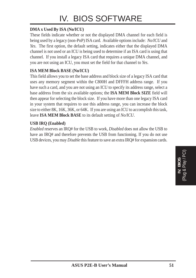#### **DMA x Used By ISA (No/ICU)**

These fields indicate whether or not the displayed DMA channel for each field is being used by a legacy (non-PnP) ISA card. Available options include: *No/ICU* and *Yes*. The first option, the default setting, indicates either that the displayed DMA channel is not used or an ICU is being used to determine if an ISA card is using that channel. If you install a legacy ISA card that requires a unique DMA channel, and you are not using an ICU, you must set the field for that channel to *Yes*.

#### **ISA MEM Block BASE (No/ICU)**

This field allows you to set the base address and block size of a legacy ISA card that uses any memory segment within the C800H and DFFFH address range. If you have such a card, and you are not using an ICU to specify its address range, select a base address from the six available options; the **ISA MEM Block SIZE** field will then appear for selecting the block size. If you have more than one legacy ISA card in your system that requires to use this address range, you can increase the block size to either 8K, 16K, 36K, or 64K. If you are using an ICU to accomplish this task, leave **ISA MEM Block BASE** to its default setting of *No/ICU*.

#### **USB IRQ (Enabled)**

*Enabled* reserves an IRQ# for the USB to work, *Disabled* does not allow the USB to have an IRQ# and therefore prevents the USB from functioning. If you do not use USB devices, you may *Disable* this feature to save an extra IRQ# for expansion cards.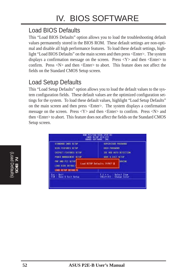## Load BIOS Defaults

This "Load BIOS Defaults" option allows you to load the troubleshooting default values permanently stored in the BIOS ROM. These default settings are non-optimal and disable all high performance features. To load these default settings, highlight "Load BIOS Defaults" on the main screen and then press <Enter>. The system displays a confirmation message on the screen. Press  $\langle Y \rangle$  and then  $\langle$ Enter $\rangle$  to confirm. Press  $\langle N \rangle$  and then  $\langle$ Enter $\rangle$  to abort. This feature does not affect the fields on the Standard CMOS Setup screen.

### Load Setup Defaults

This "Load Setup Defaults" option allows you to load the default values to the system configuration fields. These default values are the optimized configuration settings for the system. To load these default values, highlight "Load Setup Defaults" on the main screen and then press <Enter>. The system displays a confirmation message on the screen. Press  $\langle Y \rangle$  and then  $\langle$ Enter $\rangle$  to confirm. Press  $\langle N \rangle$  and then <Enter> to abort. This feature does not affect the fields on the Standard CMOS Setup screen.

| STHMUHRD DWIS SETUP                                                                   | SUPERVISOR PRSSNIKE                                          |
|---------------------------------------------------------------------------------------|--------------------------------------------------------------|
| <b>BIDS FEATURES SETUP</b><br>CHIPSET FEDTURES SETUP<br><b>POMER MINHEEMENT SETUP</b> | USEN PRESNOST<br>THE HOD AUTO DETECTION<br>SAVE & EXIT SETUP |
| FNP AND PCT SETUP<br>LOND B10S SEFRA 1                                                | <b>SIVING</b><br>Load SETUP Defaults (V/N)? @                |
| LOAD SETUP DEFAILTS                                                                   |                                                              |
| Esc : Duit<br>F10 : Save 8 Exit Setup                                                 | <b>Select Item</b><br>$Shift1F2$<br><b>Change Color</b>      |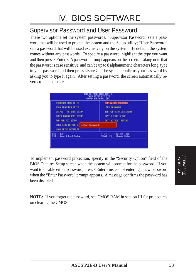### Supervisor Password and User Password

These two options set the system passwords. "Supervisor Password" sets a password that will be used to protect the system and the Setup utility; "User Password" sets a password that will be used exclusively on the system. By default, the system comes without any passwords. To specify a password, highlight the type you want and then press <Enter>. A password prompt appears on the screen. Taking note that the password is case sensitive, and can be up to 8 alphanumeric characters long, type in your password and then press <Enter>. The system confirms your password by asking you to type it again. After setting a password, the screen automatically reverts to the main screen.



To implement password protection, specify in the "Security Option" field of the BIOS Features Setup screen when the system will prompt for the password. If you want to disable either password, press <Enter> instead of entering a new password when the "Enter Password" prompt appears. A message confirms the password has been disabled.

**NOTE:** If you forget the password, see CMOS RAM in section III for procedures on clearing the CMOS.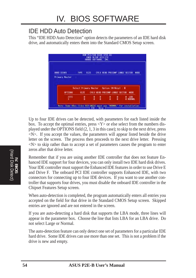### IDE HDD Auto Detection

This "IDE HDD Auto Detection" option detects the parameters of an IDE hard disk drive, and automatically enters them into the Standard CMOS Setup screen.



Up to four IDE drives can be detected, with parameters for each listed inside the box. To accept the optimal entries, press  $\langle Y \rangle$  or else select from the numbers displayed under the OPTIONS field (2, 1, 3 in this case); to skip to the next drive, press <N>. If you accept the values, the parameters will appear listed beside the drive letter on the screen. The process then proceeds to the next drive letter. Pressing  $\langle N \rangle$  to skip rather than to accept a set of parameters causes the program to enter zeros after that drive letter.

Remember that if you are using another IDE controller that does not feature Enhanced IDE support for four devices, you can only install two IDE hard disk drives. Your IDE controller must support the Enhanced IDE features in order to use Drive E and Drive F. The onboard PCI IDE controller supports Enhanced IDE, with two connectors for connecting up to four IDE devices. If you want to use another controller that supports four drives, you must disable the onboard IDE controller in the Chipset Features Setup screen.

When auto-detection is completed, the program automatically enters all entries you accepted on the field for that drive in the Standard CMOS Setup screen. Skipped entries are ignored and are not entered in the screen.

If you are auto-detecting a hard disk that supports the LBA mode, three lines will appear in the parameter box. Choose the line that lists LBA for an LBA drive. Do not select Large or Normal.

The auto-detection feature can only detect one set of parameters for a particular IDE hard drive. Some IDE drives can use more than one set. This is not a problem if the drive is new and empty.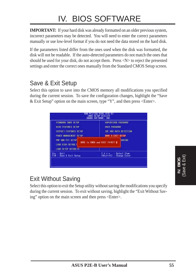# IV. BIOS SOFTWARE

**IMPORTANT:** If your hard disk was already formatted on an older previous system, incorrect parameters may be detected. You will need to enter the correct parameters manually or use low-level format if you do not need the data stored on the hard disk.

If the parameters listed differ from the ones used when the disk was formatted, the disk will not be readable. If the auto-detected parameters do not match the ones that should be used for your disk, do not accept them. Press <N> to reject the presented settings and enter the correct ones manually from the Standard CMOS Setup screen.

### Save & Exit Setup

Select this option to save into the CMOS memory all modifications you specified during the current session. To save the configuration changes, highlight the "Save & Exit Setup" option on the main screen, type "Y", and then press  $\leq$  Enter $\geq$ .



## Exit Without Saving

Select this option to exit the Setup utility without saving the modifications you specify during the current session. To exit without saving, highlight the "Exit Without Saving" option on the main screen and then press <Enter>.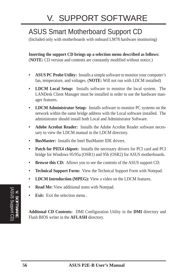# ASUS Smart Motherboard Support CD

(Included only with motherboards with onboard LM78 hardware monitoring)

**Inserting the support CD brings up a selection menu described as follows:** (**NOTE:** CD version and contents are constantly modified without notice.)

- **ASUS PC Probe Utility:** Installs a simple software to monitor your computer's fan, temperature, and voltages. (**NOTE:** Will not run with LDCM installed)
- **LDCM Local Setup:** Installs software to monitor the local system. The LANDesk Client Manager must be installed in order to use the hardware manager features.
- **LDCM Administrator Setup:** Installs software to monitor PC systems on the network within the same bridge address with the Local software installed. The administrator should install both Local and Administrator Software.
- **Adobe Acrobat Reader:** Installs the Adobe Acrobat Reader software necessary to view the LDCM manual in the LDCM directory.
- **BusMaster:** Installs the Intel BusMaster IDE drivers.
- **Patch for PIIX4 chipset:** Installs the necessary drivers for PCI card and PCI bridge for Windows 95/95a (OSR1) and 95b (OSR2) for ASUS motherboards.
- **Browse this CD:** Allows you to see the contents of the ASUS support CD.
- **Technical Support Form:** View the Technical Support Form with Notepad.
- **LDCM Introduction (MPEG):** View a video on the LDCM features.
- **Read Me:** View additional notes with Notepad.
- **Exit:** Exit the selection menu .

**Additonal CD Contents:** DMI Configuration Utility in the **DMI** directory and Flash BIOS writer in the **AFLASH** directory.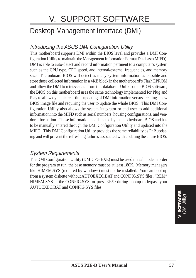# V. SUPPORT SOFTWARE

# Desktop Management Interface (DMI)

### Introducing the ASUS DMI Configuration Utility

This motherboard supports DMI within the BIOS level and provides a DMI Configuration Utility to maintain the Management Information Format Database (MIFD). DMI is able to auto-detect and record information pertinent to a computer's system such as the CPU type, CPU speed, and internal/external frequencies, and memory size. The onboard BIOS will detect as many system information as possible and store those collected information in a 4KB block in the motherboard's Flash EPROM and allow the DMI to retrieve data from this database. Unlike other BIOS software, the BIOS on this motherboard uses the same technology implemented for Plug and Play to allow dynamic real-time updating of DMI information versus creating a new BIOS image file and requiring the user to update the whole BIOS. This DMI Configuration Utility also allows the system integrator or end user to add additional information into the MIFD such as serial numbers, housing configurations, and vendor information. Those information not detected by the motherboard BIOS and has to be manually entered through the DMI Configuration Utility and updated into the MIFD. This DMI Configuration Utility provides the same reliability as PnP updating and will prevent the refreshing failures associated with updating the entire BIOS.

#### System Requirements

The DMI Configuration Utility (DMICFG.EXE) must be used in real mode in order for the program to run, the base memory must be at least 180K. Memory managers like HIMEM.SYS (required by windows) must not be installed. You can boot up from a system diskette without AUTOEXEC.BAT and CONFIG.SYS files, "REM" HIMEM.SYS in the CONFIG.SYS, or press <F5> during bootup to bypass your AUTOEXEC.BAT and CONFIG.SYS files.

> **V. SOFTWARE** (DMI Utility)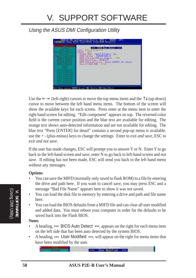### Using the ASUS DMI Configuration Utility

| <b>Sunday</b><br><b>Home Brown</b><br><b><i>SALEY LITTLE BANKING</i></b><br><b>President</b><br><b>Company Constitute Charge</b><br>bearing the bearing<br><b>George Students</b><br><b>Nonservi Minkels</b><br>kaura Midziul<br><b>Charlie C</b><br><b>CAMER</b><br><b>Service Continued State</b><br><b>Fact Electronic State</b><br><b>Secrit Commercial Con-</b><br>tac1 Samuel full<br><b>Service Construction</b><br><b>Get Lawrence Trac</b><br><b>Red Eastman's Text</b><br><b>Bally Mill</b> | *** B105 Bulo Betoot ***<br><b>Dave: J. BEDG Bulleting</b><br>Handle, J. 1811<br>Vender Name - Regri Software, Inc.<br>HIBS Varsion : M&IND-4204-8<br>H105 starting fidency Segment - 1999<br>Blus Build Date : 07/07/91<br>BIDS Characteristics : Press IIHIIII for detail<br>Size of HIDS ROK #121K |
|-------------------------------------------------------------------------------------------------------------------------------------------------------------------------------------------------------------------------------------------------------------------------------------------------------------------------------------------------------------------------------------------------------------------------------------------------------------------------------------------------------|-------------------------------------------------------------------------------------------------------------------------------------------------------------------------------------------------------------------------------------------------------------------------------------------------------|
|-------------------------------------------------------------------------------------------------------------------------------------------------------------------------------------------------------------------------------------------------------------------------------------------------------------------------------------------------------------------------------------------------------------------------------------------------------------------------------------------------------|-------------------------------------------------------------------------------------------------------------------------------------------------------------------------------------------------------------------------------------------------------------------------------------------------------|

Use the  $\leftarrow \rightarrow$  (left-right) cursors to move the top menu items and the  $\uparrow \downarrow$  (up-down) cursor to move between the left hand menu items. The bottom of the screen will show the available keys for each screen. Press enter at the menu item to enter the right hand screen for editing. "Edit component" appears on top. The reversed color field is the current cursor position and the blue text are available for editing. The orange text shows auto-detected information and are not available for editing. The blue text "Press [ENTER] for detail" contains a second pop-up menu is available, use the + - (plus-minus) keys to change the settings. Enter to exit *and save*, ESC to exit *and not save*.

If the user has made changes, ESC will prompt you to answer Y or N. Enter Y to go back to the left-hand screen *and save*, enter N to go back to left-hand screen and *not save*. If editing has not been made, ESC will send you back to the left hand menu without any messages.

#### **Options**

- You can save the MIFD (normally only saved to flash ROM) to a file by entering the drive and path here. If you want to cancel save, you may press ESC and a message "Bad File Name" appears here to show it was not saved.
- You can load the disk file to memory by entering a drive and path and file name here.
- You can load the BIOS defaults from a MIFD file and can clear all user modified and added data. You must reboot your computer in order for the defaults to be saved back into the Flash BIOS.

#### **Notes**

- A heading, \*\*\* BIOS Auto Detect \*\*\*, appears on the right for each menu item on the left side that has been auto detected by the system BIOS.
- A heading, \*\*\* User Modified \*\*\*, will appear on the right for menu items that have been modified by the user.

**Joer Modified**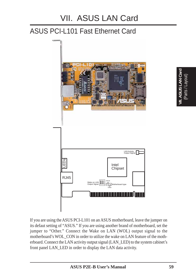# ASUS PCI-L101 Fast Ethernet Card



If you are using the ASUS PCI-L101 on an ASUS motherboard, leave the jumper on its defaut setting of "ASUS." If you are using another brand of motherboard, set the jumper to "Other." Connect the Wake on LAN (WOL) output signal to the motherboard's WOL\_CON in order to utilize the wake on LAN feature of the motherboard. Connect the LAN activity output signal (LAN\_LED) to the system cabinet's front panel LAN\_LED in order to display the LAN data activity.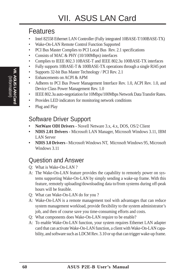## Features

- Intel 82558 Ethernet LAN Controller (Fully integrated 10BASE-T/100BASE-TX)
- Wake-On-LAN Remote Control Function Supported
- PCI Bus Master Complies to PCI Local Bus Rev. 2.1 specifications
- Consists of MAC & PHY (10/100Mbps) interfaces
- Complies to IEEE 802.3 10BASE-T and IEEE 802.3u 100BASE-TX interfaces
- Fully supports 10BASE-T & 100BASE-TX operations through a single RJ45 port
- Supports 32-bit Bus Master Technology / PCI Rev. 2.1
- Enhancements on ACPI & APM
- Adheres to PCI Bus Power Management Interface Rev. 1.0, ACPI Rev. 1.0, and Device Class Power Management Rev. 1.0
- IEEE 802.3u auto-negotiation for 10Mbps/100Mbps Network Data Transfer Rates.
- Provides LED indicators for monitoring network conditions
- Plug and Play

## Software Driver Support

- **NetWare ODI Drivers** Novell Netware 3.x, 4.x, DOS, OS/2 Client
- **NDIS 2.01 Drivers Microsoft LAN Manager, Microsoft Windows 3.11, IBM** LAN Server
- **NDIS 3.0 Drivers -** Microsoft Windows NT, Microsoft Windows 95, Microsoft Windows 3.11

## Question and Answer

- Q: What is Wake-On-LAN ?
- A: The Wake-On-LAN feature provides the capability to remotely power on systems supporting Wake-On-LAN by simply sending a wake-up frame. With this feature, remotely uploading/downloading data to/from systems during off-peak hours will be feasible.
- Q: What can Wake-On-LAN do for you ?
- A: Wake-On-LAN is a remote management tool with advantages that can reduce system management workload, provide flexibility to the system administrator's job, and then of course save you time-consuming efforts and costs.
- Q: What components does Wake-On-LAN require to be enable?
- A: To enable Wake-On-LAN function, your system requires Ethernet LAN adapter card that can activate Wake-On-LAN function, a client with Wake-On-LAN capability, and software such as LDCM Rev. 3.10 or up that can trigger wake-up frame.